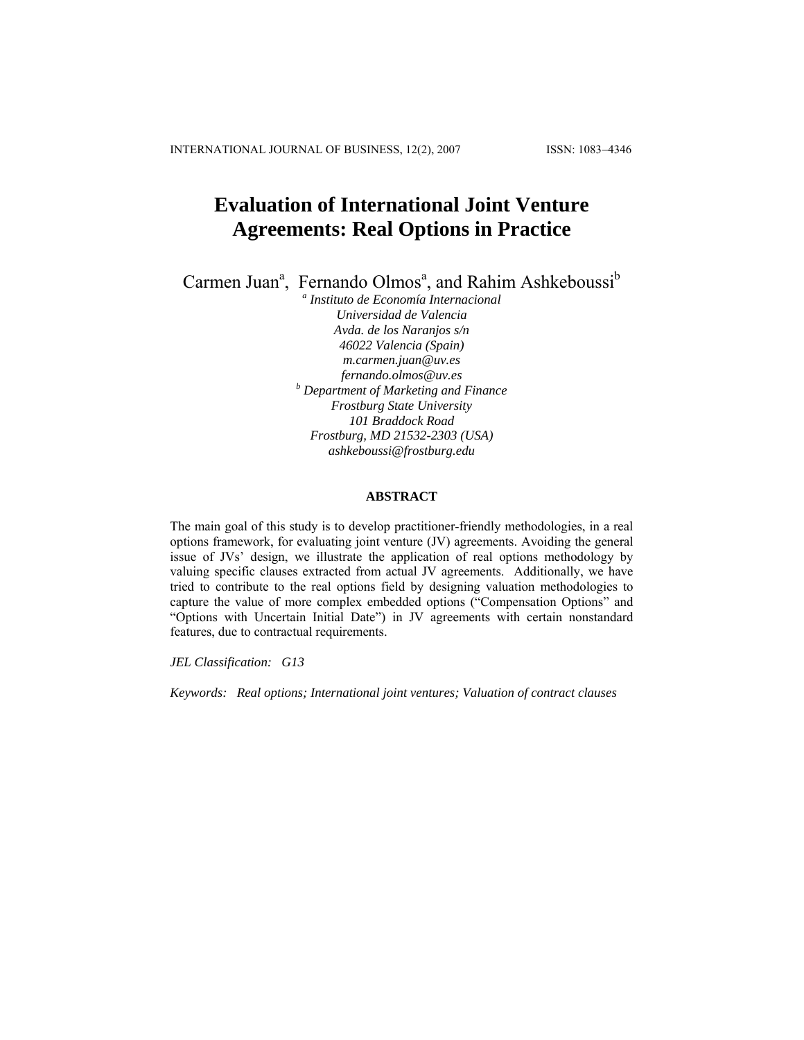INTERNATIONAL JOURNAL OF BUSINESS, 12(2), 2007 ISSN: 1083−4346

# **Evaluation of International Joint Venture Agreements: Real Options in Practice**

Carmen Juan<sup>a</sup>, Fernando Olmos<sup>a</sup>, and Rahim Ashkeboussi<sup>b</sup>

*a Instituto de Economía Internacional Universidad de Valencia Avda. de los Naranjos s/n 46022 Valencia (Spain) [m.carmen.juan@uv.es](mailto:m.carmen.juan@uv.es) [fernando.olmos@uv.es](mailto:fernando.olmos@uv.es) <sup>b</sup> Department of Marketing and Finance Frostburg State University 101 Braddock Road Frostburg, MD 21532-2303 (USA) [ashkeboussi@frostburg.edu](mailto:%3Cfont%20face=%22arial,helvetica%22%3E%3Ca%20href=%22mailto:Ashkeboussi@frostburg.edu)*

## **ABSTRACT**

The main goal of this study is to develop practitioner-friendly methodologies, in a real options framework, for evaluating joint venture (JV) agreements. Avoiding the general issue of JVs' design, we illustrate the application of real options methodology by valuing specific clauses extracted from actual JV agreements. Additionally, we have tried to contribute to the real options field by designing valuation methodologies to capture the value of more complex embedded options ("Compensation Options" and "Options with Uncertain Initial Date") in JV agreements with certain nonstandard features, due to contractual requirements.

*JEL Classification: G13* 

*Keywords: Real options; International joint ventures; Valuation of contract clauses*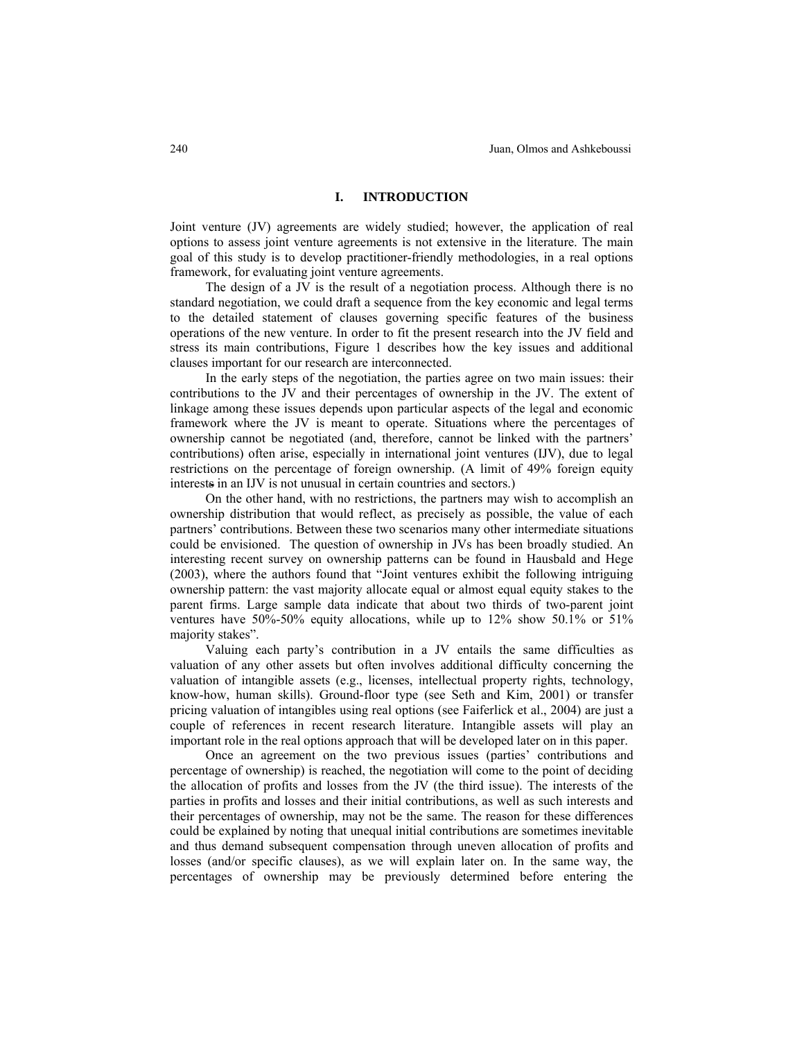## **I. INTRODUCTION**

Joint venture (JV) agreements are widely studied; however, the application of real options to assess joint venture agreements is not extensive in the literature. The main goal of this study is to develop practitioner-friendly methodologies, in a real options framework, for evaluating joint venture agreements.

The design of a JV is the result of a negotiation process. Although there is no standard negotiation, we could draft a sequence from the key economic and legal terms to the detailed statement of clauses governing specific features of the business operations of the new venture. In order to fit the present research into the JV field and stress its main contributions, Figure 1 describes how the key issues and additional clauses important for our research are interconnected.

In the early steps of the negotiation, the parties agree on two main issues: their contributions to the JV and their percentages of ownership in the JV. The extent of linkage among these issues depends upon particular aspects of the legal and economic framework where the JV is meant to operate. Situations where the percentages of ownership cannot be negotiated (and, therefore, cannot be linked with the partners' contributions) often arise, especially in international joint ventures (IJV), due to legal restrictions on the percentage of foreign ownership. (A limit of 49% foreign equity interests in an IJV is not unusual in certain countries and sectors.)

On the other hand, with no restrictions, the partners may wish to accomplish an ownership distribution that would reflect, as precisely as possible, the value of each partners' contributions. Between these two scenarios many other intermediate situations could be envisioned. The question of ownership in JVs has been broadly studied. An interesting recent survey on ownership patterns can be found in Hausbald and Hege (2003), where the authors found that "Joint ventures exhibit the following intriguing ownership pattern: the vast majority allocate equal or almost equal equity stakes to the parent firms. Large sample data indicate that about two thirds of two-parent joint ventures have 50%-50% equity allocations, while up to 12% show 50.1% or 51% majority stakes".

 Valuing each party's contribution in a JV entails the same difficulties as valuation of any other assets but often involves additional difficulty concerning the valuation of intangible assets (e.g., licenses, intellectual property rights, technology, know-how, human skills). Ground-floor type (see Seth and Kim, 2001) or transfer pricing valuation of intangibles using real options (see Faiferlick et al., 2004) are just a couple of references in recent research literature. Intangible assets will play an important role in the real options approach that will be developed later on in this paper.

Once an agreement on the two previous issues (parties' contributions and percentage of ownership) is reached, the negotiation will come to the point of deciding the allocation of profits and losses from the JV (the third issue). The interests of the parties in profits and losses and their initial contributions, as well as such interests and their percentages of ownership, may not be the same. The reason for these differences could be explained by noting that unequal initial contributions are sometimes inevitable and thus demand subsequent compensation through uneven allocation of profits and losses (and/or specific clauses), as we will explain later on. In the same way, the percentages of ownership may be previously determined before entering the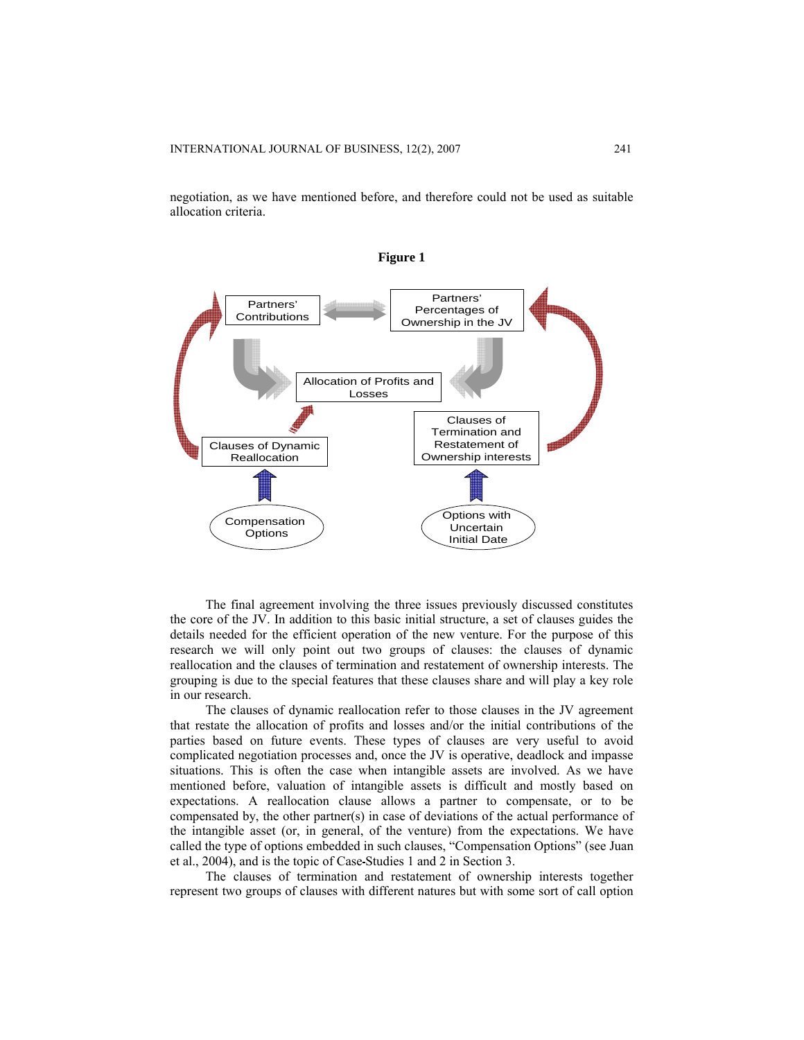negotiation, as we have mentioned before, and therefore could not be used as suitable allocation criteria.



The final agreement involving the three issues previously discussed constitutes the core of the JV. In addition to this basic initial structure, a set of clauses guides the details needed for the efficient operation of the new venture. For the purpose of this research we will only point out two groups of clauses: the clauses of dynamic reallocation and the clauses of termination and restatement of ownership interests. The grouping is due to the special features that these clauses share and will play a key role in our research.

 The clauses of dynamic reallocation refer to those clauses in the JV agreement that restate the allocation of profits and losses and/or the initial contributions of the parties based on future events. These types of clauses are very useful to avoid complicated negotiation processes and, once the JV is operative, deadlock and impasse situations. This is often the case when intangible assets are involved. As we have mentioned before, valuation of intangible assets is difficult and mostly based on expectations. A reallocation clause allows a partner to compensate, or to be compensated by, the other partner(s) in case of deviations of the actual performance of the intangible asset (or, in general, of the venture) from the expectations. We have called the type of options embedded in such clauses, "Compensation Options" (see Juan et al., 2004), and is the topic of Case Studies 1 and 2 in Section 3.

 The clauses of termination and restatement of ownership interests together represent two groups of clauses with different natures but with some sort of call option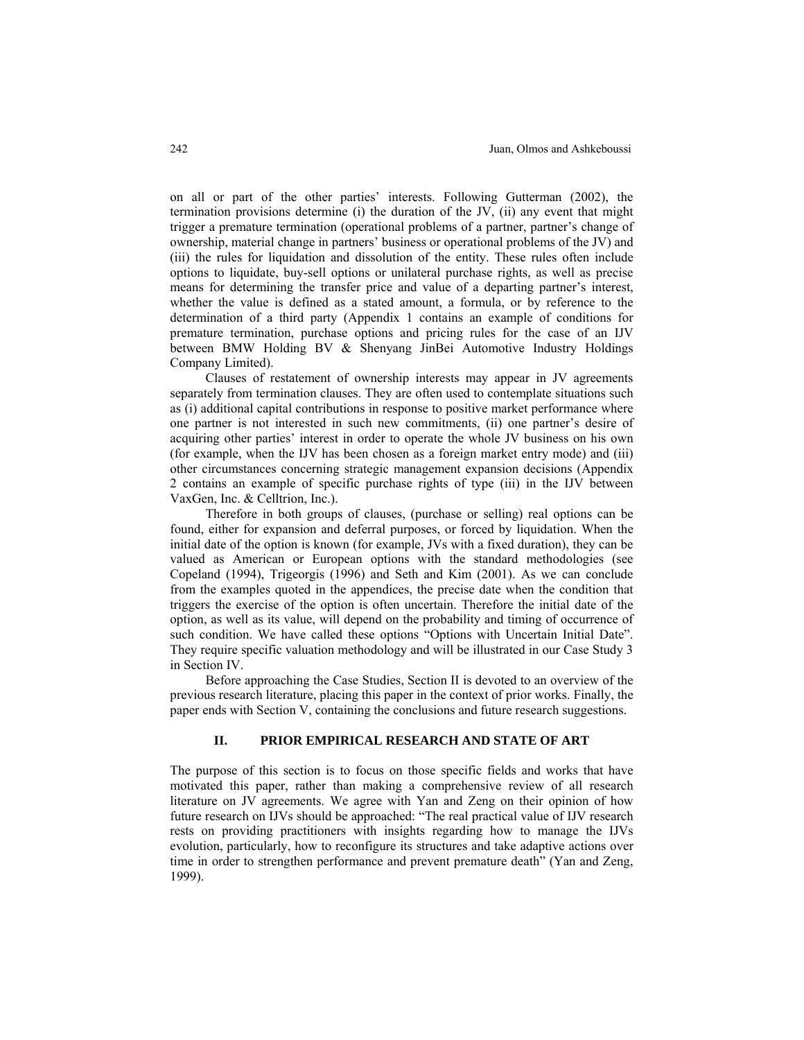on all or part of the other parties' interests. Following Gutterman (2002), the termination provisions determine (i) the duration of the JV, (ii) any event that might trigger a premature termination (operational problems of a partner, partner's change of ownership, material change in partners' business or operational problems of the JV) and (iii) the rules for liquidation and dissolution of the entity. These rules often include options to liquidate, buy-sell options or unilateral purchase rights, as well as precise means for determining the transfer price and value of a departing partner's interest, whether the value is defined as a stated amount, a formula, or by reference to the determination of a third party (Appendix 1 contains an example of conditions for premature termination, purchase options and pricing rules for the case of an IJV between BMW Holding BV & Shenyang JinBei Automotive Industry Holdings Company Limited).

 Clauses of restatement of ownership interests may appear in JV agreements separately from termination clauses. They are often used to contemplate situations such as (i) additional capital contributions in response to positive market performance where one partner is not interested in such new commitments, (ii) one partner's desire of acquiring other parties' interest in order to operate the whole JV business on his own (for example, when the IJV has been chosen as a foreign market entry mode) and (iii) other circumstances concerning strategic management expansion decisions (Appendix 2 contains an example of specific purchase rights of type (iii) in the IJV between VaxGen, Inc. & Celltrion, Inc.).

 Therefore in both groups of clauses, (purchase or selling) real options can be found, either for expansion and deferral purposes, or forced by liquidation. When the initial date of the option is known (for example, JVs with a fixed duration), they can be valued as American or European options with the standard methodologies (see Copeland (1994), Trigeorgis (1996) and Seth and Kim (2001). As we can conclude from the examples quoted in the appendices, the precise date when the condition that triggers the exercise of the option is often uncertain. Therefore the initial date of the option, as well as its value, will depend on the probability and timing of occurrence of such condition. We have called these options "Options with Uncertain Initial Date". They require specific valuation methodology and will be illustrated in our Case Study 3 in Section IV.

 Before approaching the Case Studies, Section II is devoted to an overview of the previous research literature, placing this paper in the context of prior works. Finally, the paper ends with Section V, containing the conclusions and future research suggestions.

# **II. PRIOR EMPIRICAL RESEARCH AND STATE OF ART**

The purpose of this section is to focus on those specific fields and works that have motivated this paper, rather than making a comprehensive review of all research literature on JV agreements. We agree with Yan and Zeng on their opinion of how future research on IJVs should be approached: "The real practical value of IJV research rests on providing practitioners with insights regarding how to manage the IJVs evolution, particularly, how to reconfigure its structures and take adaptive actions over time in order to strengthen performance and prevent premature death" (Yan and Zeng, 1999).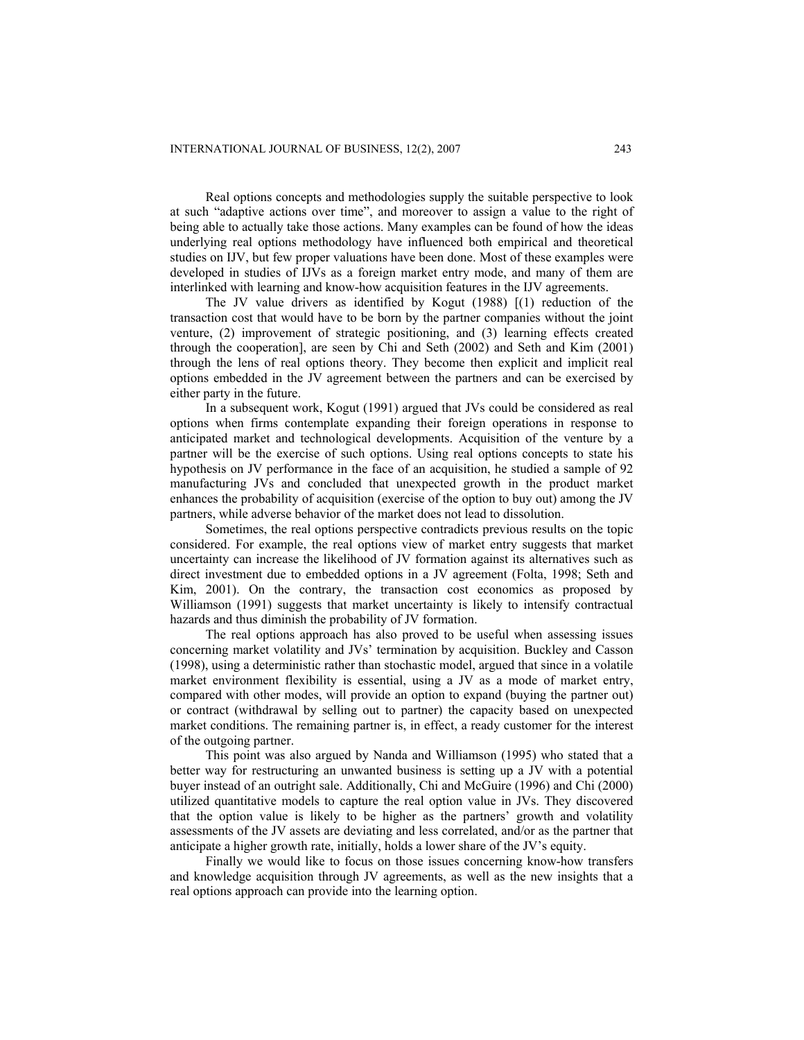Real options concepts and methodologies supply the suitable perspective to look at such "adaptive actions over time", and moreover to assign a value to the right of being able to actually take those actions. Many examples can be found of how the ideas underlying real options methodology have influenced both empirical and theoretical studies on IJV, but few proper valuations have been done. Most of these examples were developed in studies of IJVs as a foreign market entry mode, and many of them are interlinked with learning and know-how acquisition features in the IJV agreements.

The JV value drivers as identified by Kogut (1988) [(1) reduction of the transaction cost that would have to be born by the partner companies without the joint venture, (2) improvement of strategic positioning, and (3) learning effects created through the cooperation], are seen by Chi and Seth (2002) and Seth and Kim (2001) through the lens of real options theory. They become then explicit and implicit real options embedded in the JV agreement between the partners and can be exercised by either party in the future.

In a subsequent work, Kogut (1991) argued that JVs could be considered as real options when firms contemplate expanding their foreign operations in response to anticipated market and technological developments. Acquisition of the venture by a partner will be the exercise of such options. Using real options concepts to state his hypothesis on JV performance in the face of an acquisition, he studied a sample of 92 manufacturing JVs and concluded that unexpected growth in the product market enhances the probability of acquisition (exercise of the option to buy out) among the JV partners, while adverse behavior of the market does not lead to dissolution.

Sometimes, the real options perspective contradicts previous results on the topic considered. For example, the real options view of market entry suggests that market uncertainty can increase the likelihood of JV formation against its alternatives such as direct investment due to embedded options in a JV agreement (Folta, 1998; Seth and Kim, 2001). On the contrary, the transaction cost economics as proposed by Williamson (1991) suggests that market uncertainty is likely to intensify contractual hazards and thus diminish the probability of JV formation.

The real options approach has also proved to be useful when assessing issues concerning market volatility and JVs' termination by acquisition. Buckley and Casson (1998), using a deterministic rather than stochastic model, argued that since in a volatile market environment flexibility is essential, using a JV as a mode of market entry, compared with other modes, will provide an option to expand (buying the partner out) or contract (withdrawal by selling out to partner) the capacity based on unexpected market conditions. The remaining partner is, in effect, a ready customer for the interest of the outgoing partner.

This point was also argued by Nanda and Williamson (1995) who stated that a better way for restructuring an unwanted business is setting up a JV with a potential buyer instead of an outright sale. Additionally, Chi and McGuire (1996) and Chi (2000) utilized quantitative models to capture the real option value in JVs. They discovered that the option value is likely to be higher as the partners' growth and volatility assessments of the JV assets are deviating and less correlated, and/or as the partner that anticipate a higher growth rate, initially, holds a lower share of the JV's equity.

Finally we would like to focus on those issues concerning know-how transfers and knowledge acquisition through JV agreements, as well as the new insights that a real options approach can provide into the learning option.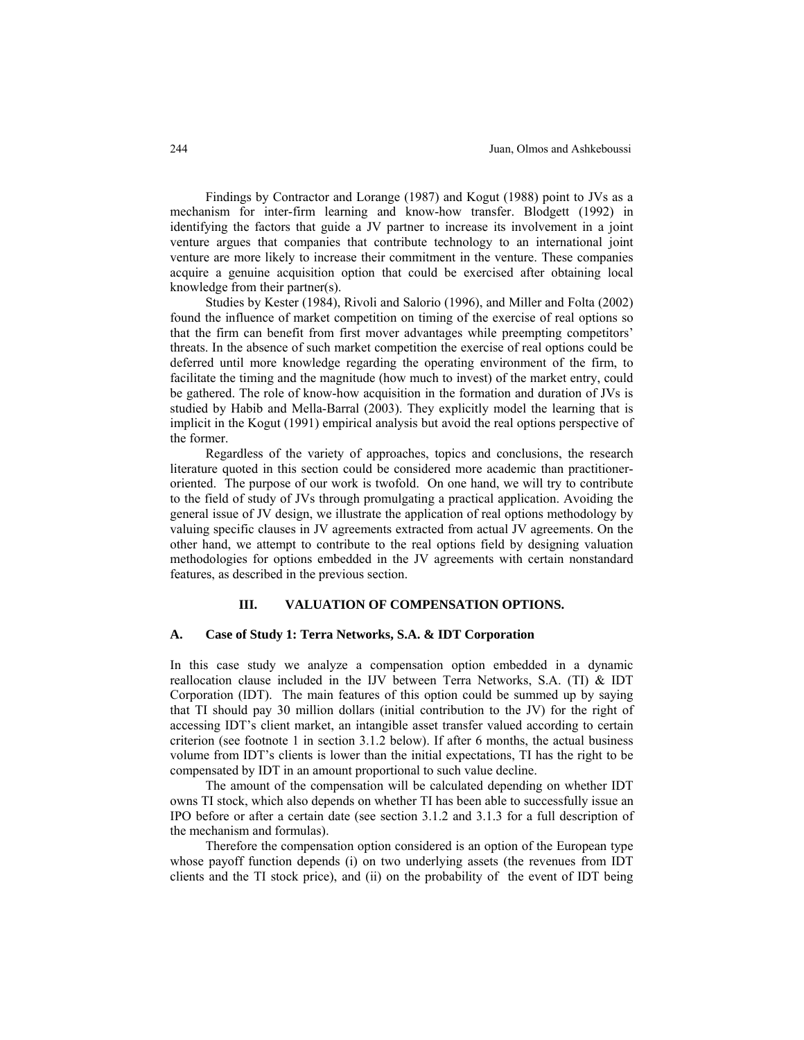Findings by Contractor and Lorange (1987) and Kogut (1988) point to JVs as a mechanism for inter-firm learning and know-how transfer. Blodgett (1992) in identifying the factors that guide a JV partner to increase its involvement in a joint venture argues that companies that contribute technology to an international joint venture are more likely to increase their commitment in the venture. These companies acquire a genuine acquisition option that could be exercised after obtaining local knowledge from their partner(s).

Studies by Kester (1984), Rivoli and Salorio (1996), and Miller and Folta (2002) found the influence of market competition on timing of the exercise of real options so that the firm can benefit from first mover advantages while preempting competitors' threats. In the absence of such market competition the exercise of real options could be deferred until more knowledge regarding the operating environment of the firm, to facilitate the timing and the magnitude (how much to invest) of the market entry, could be gathered. The role of know-how acquisition in the formation and duration of JVs is studied by Habib and Mella-Barral (2003). They explicitly model the learning that is implicit in the Kogut (1991) empirical analysis but avoid the real options perspective of the former.

Regardless of the variety of approaches, topics and conclusions, the research literature quoted in this section could be considered more academic than practitioneroriented. The purpose of our work is twofold. On one hand, we will try to contribute to the field of study of JVs through promulgating a practical application. Avoiding the general issue of JV design, we illustrate the application of real options methodology by valuing specific clauses in JV agreements extracted from actual JV agreements. On the other hand, we attempt to contribute to the real options field by designing valuation methodologies for options embedded in the JV agreements with certain nonstandard features, as described in the previous section.

#### **III. VALUATION OF COMPENSATION OPTIONS.**

#### **A. Case of Study 1: Terra Networks, S.A. & IDT Corporation**

In this case study we analyze a compensation option embedded in a dynamic reallocation clause included in the IJV between Terra Networks, S.A. (TI) & IDT Corporation (IDT). The main features of this option could be summed up by saying that TI should pay 30 million dollars (initial contribution to the JV) for the right of accessing IDT's client market, an intangible asset transfer valued according to certain criterion (see footnote 1 in section 3.1.2 below). If after 6 months, the actual business volume from IDT's clients is lower than the initial expectations, TI has the right to be compensated by IDT in an amount proportional to such value decline.

 The amount of the compensation will be calculated depending on whether IDT owns TI stock, which also depends on whether TI has been able to successfully issue an IPO before or after a certain date (see section 3.1.2 and 3.1.3 for a full description of the mechanism and formulas).

 Therefore the compensation option considered is an option of the European type whose payoff function depends (i) on two underlying assets (the revenues from IDT clients and the TI stock price), and (ii) on the probability of the event of IDT being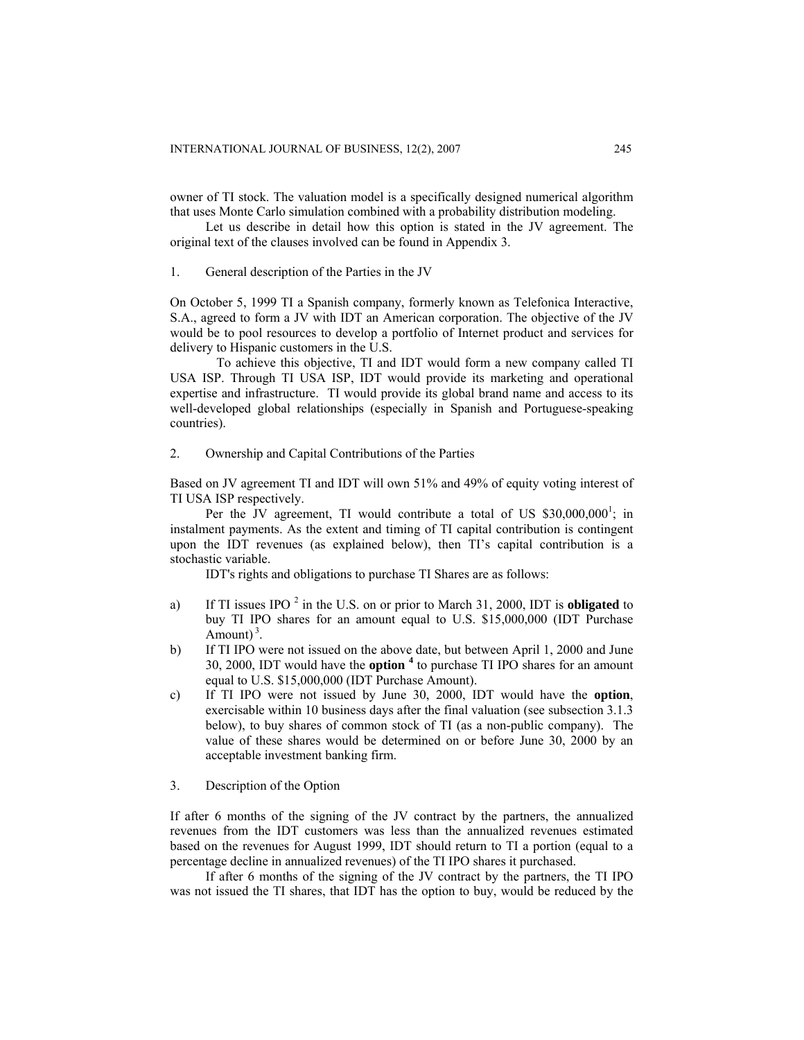owner of TI stock. The valuation model is a specifically designed numerical algorithm that uses Monte Carlo simulation combined with a probability distribution modeling.

Let us describe in detail how this option is stated in the JV agreement. The original text of the clauses involved can be found in Appendix 3.

1. General description of the Parties in the JV

On October 5, 1999 TI a Spanish company, formerly known as Telefonica Interactive, S.A., agreed to form a JV with IDT an American corporation. The objective of the JV would be to pool resources to develop a portfolio of Internet product and services for delivery to Hispanic customers in the U.S.

 To achieve this objective, TI and IDT would form a new company called TI USA ISP. Through TI USA ISP, IDT would provide its marketing and operational expertise and infrastructure. TI would provide its global brand name and access to its well-developed global relationships (especially in Spanish and Portuguese-speaking countries).

2. Ownership and Capital Contributions of the Parties

Based on JV agreement TI and IDT will own 51% and 49% of equity voting interest of TI USA ISP respectively.

Per the JV agreement, TI would contribute a total of US  $$30,000,000^1$ ; in instalment payments. As the extent and timing of TI capital contribution is contingent upon the IDT revenues (as explained below), then TI's capital contribution is a stochastic variable.

IDT's rights and obligations to purchase TI Shares are as follows:

- a) If TI issues IPO <sup>2</sup> in the U.S. on or prior to March 31, 2000, IDT is **obligated** to buy TI IPO shares for an amount equal to U.S. \$15,000,000 (IDT Purchase Amount $3^{3}$ .
- b) If TI IPO were not issued on the above date, but between April 1, 2000 and June 30, 2000, IDT would have the **option <sup>4</sup>** to purchase TI IPO shares for an amount equal to U.S. \$15,000,000 (IDT Purchase Amount).
- c) If TI IPO were not issued by June 30, 2000, IDT would have the **option**, exercisable within 10 business days after the final valuation (see subsection 3.1.3 below), to buy shares of common stock of TI (as a non-public company). The value of these shares would be determined on or before June 30, 2000 by an acceptable investment banking firm.

3. Description of the Option

If after 6 months of the signing of the JV contract by the partners, the annualized revenues from the IDT customers was less than the annualized revenues estimated based on the revenues for August 1999, IDT should return to TI a portion (equal to a percentage decline in annualized revenues) of the TI IPO shares it purchased.

If after 6 months of the signing of the JV contract by the partners, the TI IPO was not issued the TI shares, that IDT has the option to buy, would be reduced by the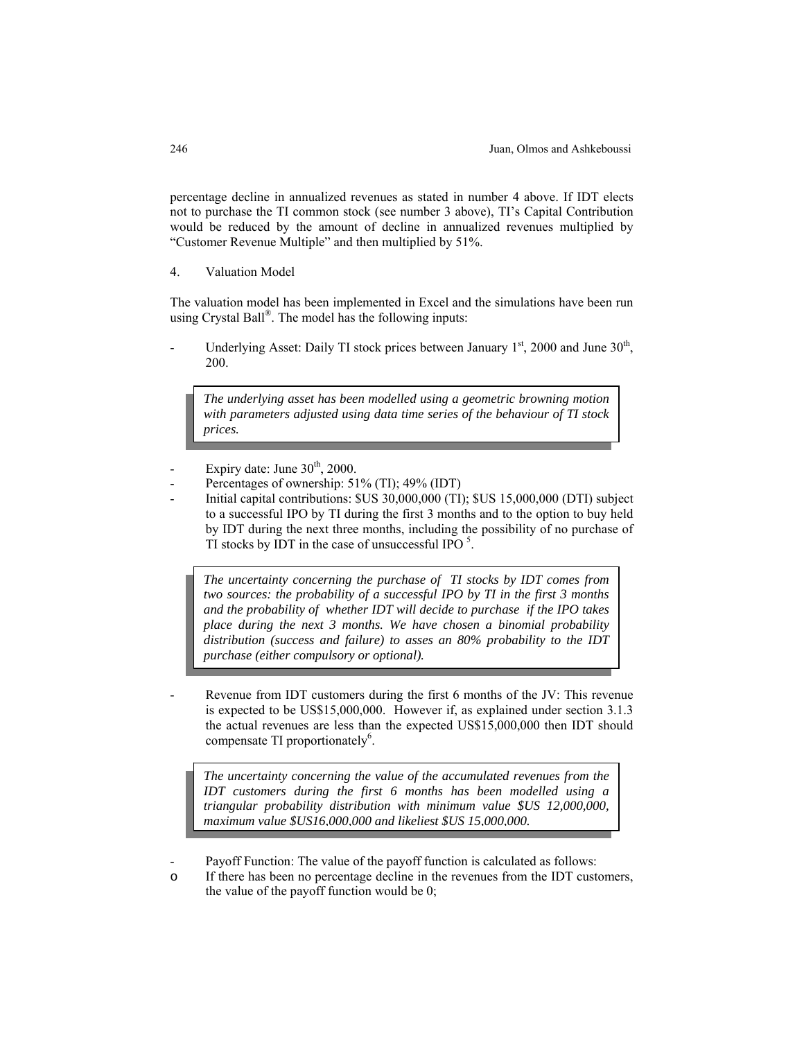percentage decline in annualized revenues as stated in number 4 above. If IDT elects not to purchase the TI common stock (see number 3 above), TI's Capital Contribution would be reduced by the amount of decline in annualized revenues multiplied by "Customer Revenue Multiple" and then multiplied by 51%.

4. Valuation Model

The valuation model has been implemented in Excel and the simulations have been run using Crystal Ball®. The model has the following inputs:

Underlying Asset: Daily TI stock prices between January  $1<sup>st</sup>$ , 2000 and June  $30<sup>th</sup>$ , 200.

*The underlying asset has been modelled using a geometric browning motion with parameters adjusted using data time series of the behaviour of TI stock prices.* 

- Expiry date: June  $30<sup>th</sup>$ , 2000.
- Percentages of ownership: 51% (TI); 49% (IDT)
- Initial capital contributions: \$US 30,000,000 (TI); \$US 15,000,000 (DTI) subject to a successful IPO by TI during the first 3 months and to the option to buy held by IDT during the next three months, including the possibility of no purchase of TI stocks by IDT in the case of unsuccessful IPO  $5$ .

*The uncertainty concerning the purchase of TI stocks by IDT comes from two sources: the probability of a successful IPO by TI in the first 3 months and the probability of whether IDT will decide to purchase if the IPO takes place during the next 3 months. We have chosen a binomial probability distribution (success and failure) to asses an 80% probability to the IDT purchase (either compulsory or optional).* 

Revenue from IDT customers during the first 6 months of the JV: This revenue is expected to be US\$15,000,000. However if, as explained under section 3.1.3 the actual revenues are less than the expected US\$15,000,000 then IDT should compensate TI proportionately<sup>6</sup>.

*The uncertainty concerning the value of the accumulated revenues from the IDT customers during the first 6 months has been modelled using a triangular probability distribution with minimum value \$US 12,000,000, maximum value \$US16,000,000 and likeliest \$US 15,000,000.*

Payoff Function: The value of the payoff function is calculated as follows:

o If there has been no percentage decline in the revenues from the IDT customers, the value of the payoff function would be 0;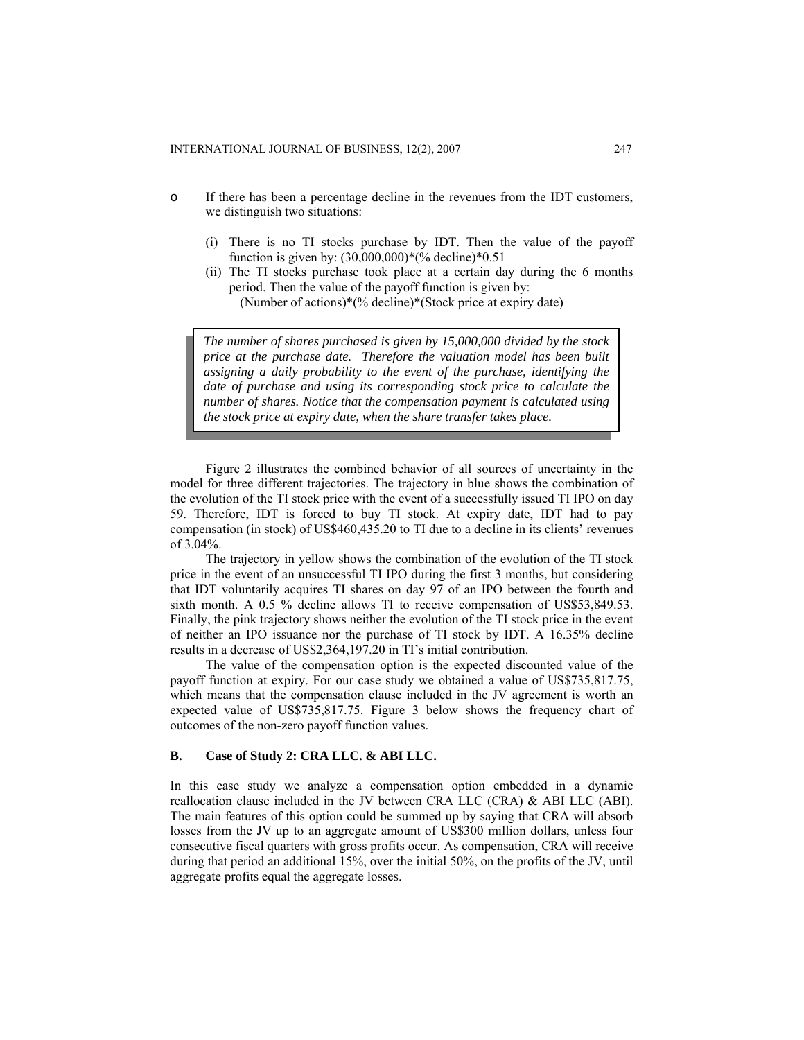- o If there has been a percentage decline in the revenues from the IDT customers, we distinguish two situations:
	- (i) There is no TI stocks purchase by IDT. Then the value of the payoff function is given by: (30,000,000)\*(% decline)\*0.51
	- (ii) The TI stocks purchase took place at a certain day during the 6 months period. Then the value of the payoff function is given by:

(Number of actions)\*(% decline)\*(Stock price at expiry date)

*The number of shares purchased is given by 15,000,000 divided by the stock price at the purchase date. Therefore the valuation model has been built assigning a daily probability to the event of the purchase, identifying the date of purchase and using its corresponding stock price to calculate the number of shares. Notice that the compensation payment is calculated using the stock price at expiry date, when the share transfer takes place.* 

Figure 2 illustrates the combined behavior of all sources of uncertainty in the model for three different trajectories. The trajectory in blue shows the combination of the evolution of the TI stock price with the event of a successfully issued TI IPO on day 59. Therefore, IDT is forced to buy TI stock. At expiry date, IDT had to pay compensation (in stock) of US\$460,435.20 to TI due to a decline in its clients' revenues of 3.04%.

The trajectory in yellow shows the combination of the evolution of the TI stock price in the event of an unsuccessful TI IPO during the first 3 months, but considering that IDT voluntarily acquires TI shares on day 97 of an IPO between the fourth and sixth month. A 0.5 % decline allows TI to receive compensation of US\$53,849.53. Finally, the pink trajectory shows neither the evolution of the TI stock price in the event of neither an IPO issuance nor the purchase of TI stock by IDT. A 16.35% decline results in a decrease of US\$2,364,197.20 in TI's initial contribution.

The value of the compensation option is the expected discounted value of the payoff function at expiry. For our case study we obtained a value of US\$735,817.75, which means that the compensation clause included in the JV agreement is worth an expected value of US\$735,817.75. Figure 3 below shows the frequency chart of outcomes of the non-zero payoff function values.

## **B. Case of Study 2: CRA LLC. & ABI LLC.**

In this case study we analyze a compensation option embedded in a dynamic reallocation clause included in the JV between CRA LLC (CRA) & ABI LLC (ABI). The main features of this option could be summed up by saying that CRA will absorb losses from the JV up to an aggregate amount of US\$300 million dollars, unless four consecutive fiscal quarters with gross profits occur. As compensation, CRA will receive during that period an additional 15%, over the initial 50%, on the profits of the JV, until aggregate profits equal the aggregate losses.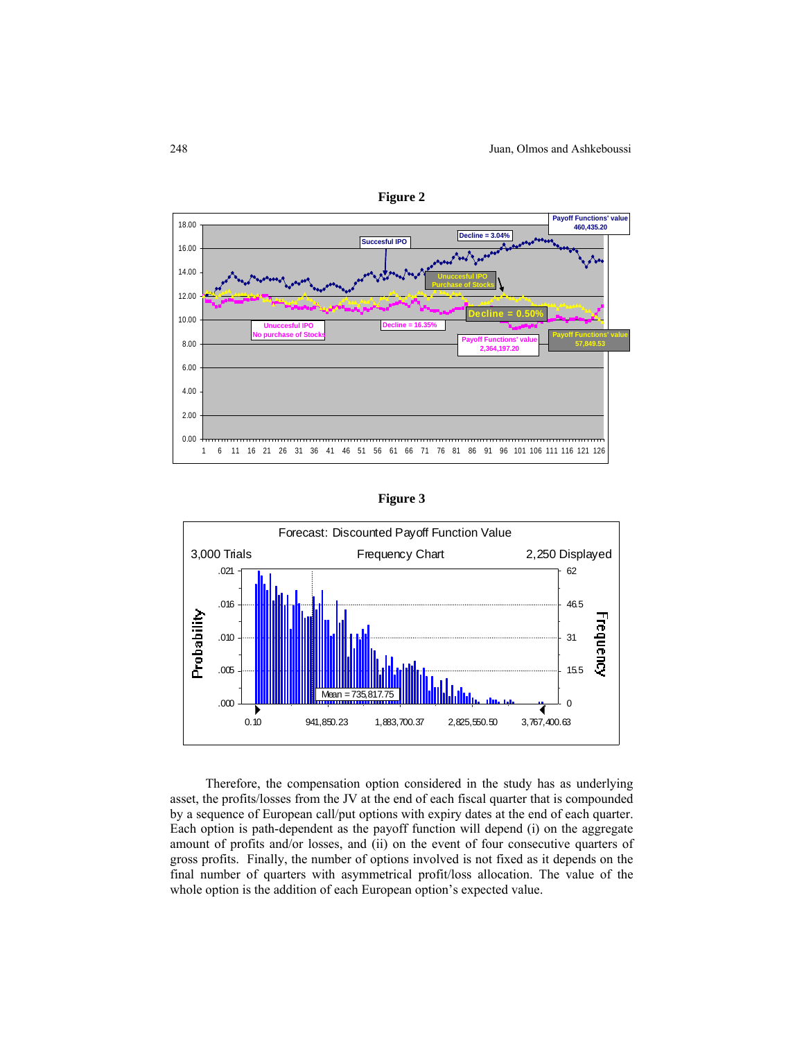







Therefore, the compensation option considered in the study has as underlying asset, the profits/losses from the JV at the end of each fiscal quarter that is compounded by a sequence of European call/put options with expiry dates at the end of each quarter. Each option is path-dependent as the payoff function will depend (i) on the aggregate amount of profits and/or losses, and (ii) on the event of four consecutive quarters of gross profits. Finally, the number of options involved is not fixed as it depends on the final number of quarters with asymmetrical profit/loss allocation. The value of the whole option is the addition of each European option's expected value.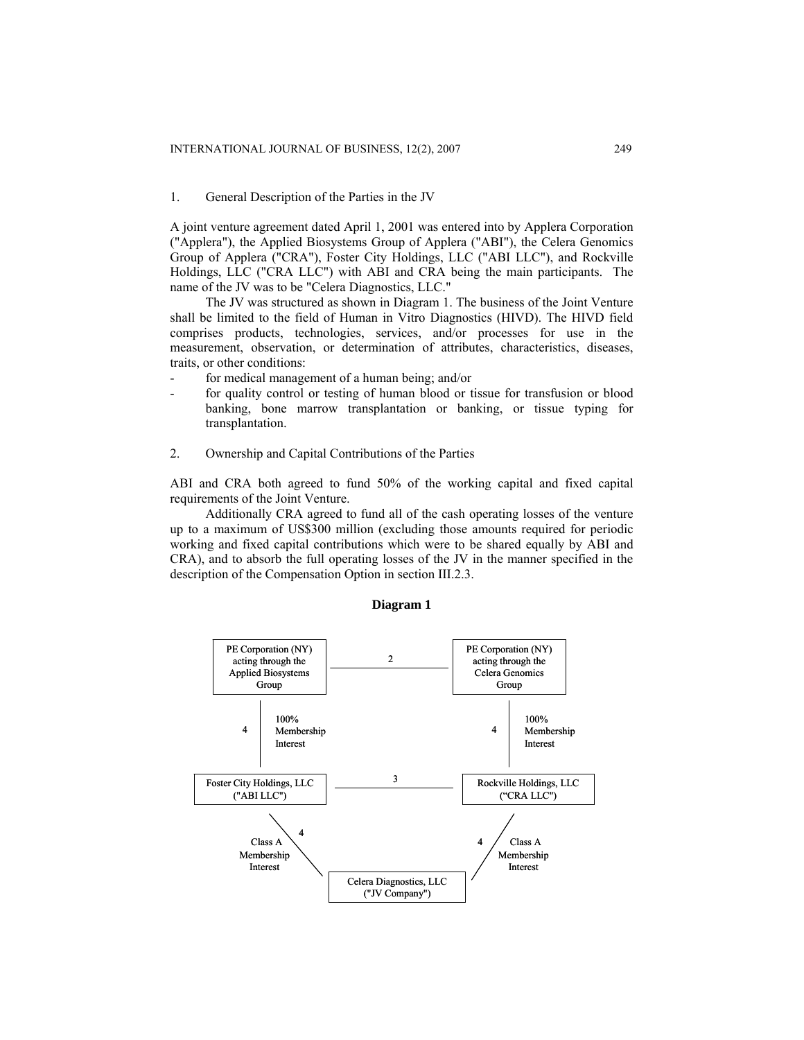## 1. General Description of the Parties in the JV

A joint venture agreement dated April 1, 2001 was entered into by Applera Corporation ("Applera"), the Applied Biosystems Group of Applera ("ABI"), the Celera Genomics Group of Applera ("CRA"), Foster City Holdings, LLC ("ABI LLC"), and Rockville Holdings, LLC ("CRA LLC") with ABI and CRA being the main participants. The name of the JV was to be "Celera Diagnostics, LLC."

The JV was structured as shown in Diagram 1. The business of the Joint Venture shall be limited to the field of Human in Vitro Diagnostics (HIVD). The HIVD field comprises products, technologies, services, and/or processes for use in the measurement, observation, or determination of attributes, characteristics, diseases, traits, or other conditions:

- for medical management of a human being; and/or
- for quality control or testing of human blood or tissue for transfusion or blood banking, bone marrow transplantation or banking, or tissue typing for transplantation.
- 2. Ownership and Capital Contributions of the Parties

ABI and CRA both agreed to fund 50% of the working capital and fixed capital requirements of the Joint Venture.

Additionally CRA agreed to fund all of the cash operating losses of the venture up to a maximum of US\$300 million (excluding those amounts required for periodic working and fixed capital contributions which were to be shared equally by ABI and CRA), and to absorb the full operating losses of the JV in the manner specified in the description of the Compensation Option in section III.2.3.



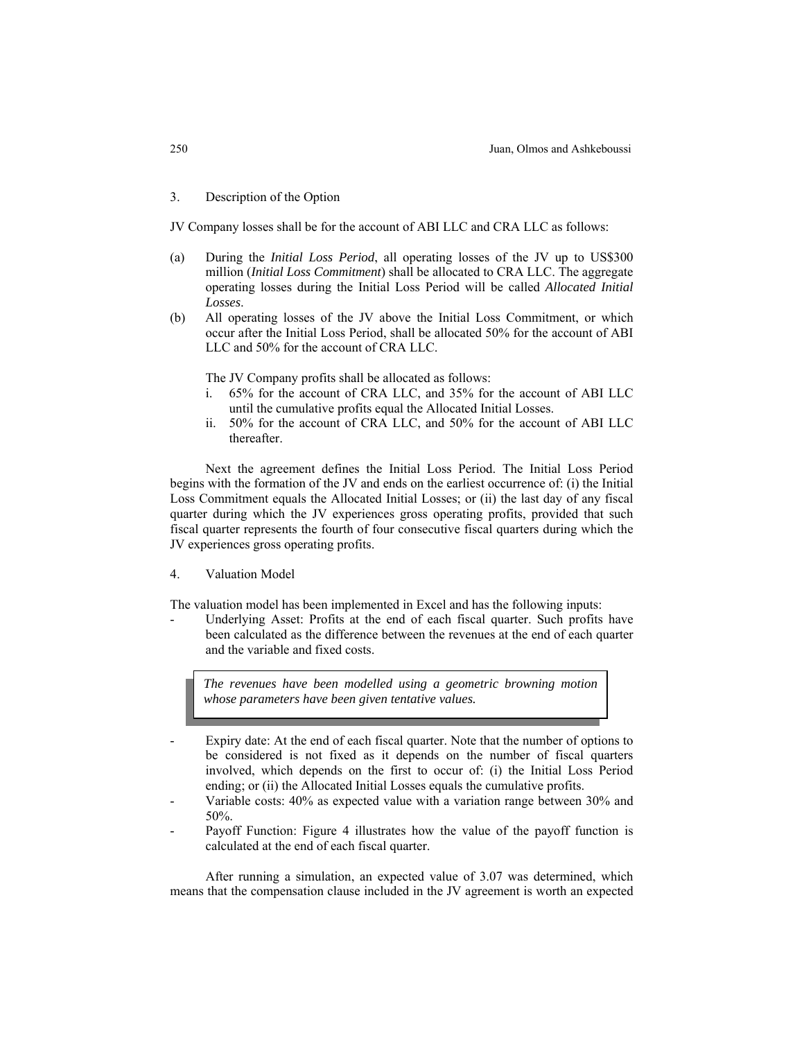3. Description of the Option

JV Company losses shall be for the account of ABI LLC and CRA LLC as follows:

- (a) During the *Initial Loss Period*, all operating losses of the JV up to US\$300 million (*Initial Loss Commitment*) shall be allocated to CRA LLC. The aggregate operating losses during the Initial Loss Period will be called *Allocated Initial Losses*.
- (b) All operating losses of the JV above the Initial Loss Commitment, or which occur after the Initial Loss Period, shall be allocated 50% for the account of ABI LLC and 50% for the account of CRA LLC.

The JV Company profits shall be allocated as follows:

- i. 65% for the account of CRA LLC, and 35% for the account of ABI LLC until the cumulative profits equal the Allocated Initial Losses.
- ii. 50% for the account of CRA LLC, and 50% for the account of ABI LLC thereafter.

Next the agreement defines the Initial Loss Period. The Initial Loss Period begins with the formation of the JV and ends on the earliest occurrence of: (i) the Initial Loss Commitment equals the Allocated Initial Losses; or (ii) the last day of any fiscal quarter during which the JV experiences gross operating profits, provided that such fiscal quarter represents the fourth of four consecutive fiscal quarters during which the JV experiences gross operating profits.

4. Valuation Model

The valuation model has been implemented in Excel and has the following inputs:

Underlying Asset: Profits at the end of each fiscal quarter. Such profits have been calculated as the difference between the revenues at the end of each quarter and the variable and fixed costs.

*The revenues have been modelled using a geometric browning motion whose parameters have been given tentative values.* 

- Expiry date: At the end of each fiscal quarter. Note that the number of options to be considered is not fixed as it depends on the number of fiscal quarters involved, which depends on the first to occur of: (i) the Initial Loss Period ending; or (ii) the Allocated Initial Losses equals the cumulative profits.
- Variable costs: 40% as expected value with a variation range between 30% and 50%.
- Payoff Function: Figure 4 illustrates how the value of the payoff function is calculated at the end of each fiscal quarter.

After running a simulation, an expected value of 3.07 was determined, which means that the compensation clause included in the JV agreement is worth an expected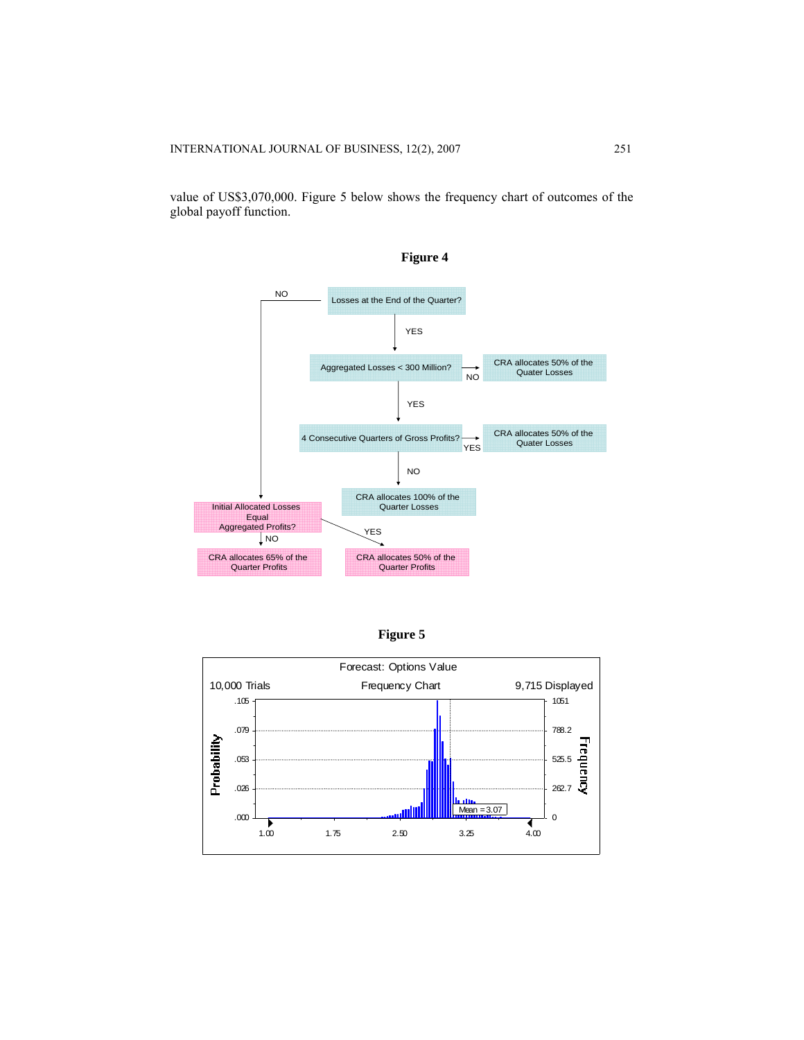value of US\$3,070,000. Figure 5 below shows the frequency chart of outcomes of the global payoff function.





**Figure 5** 

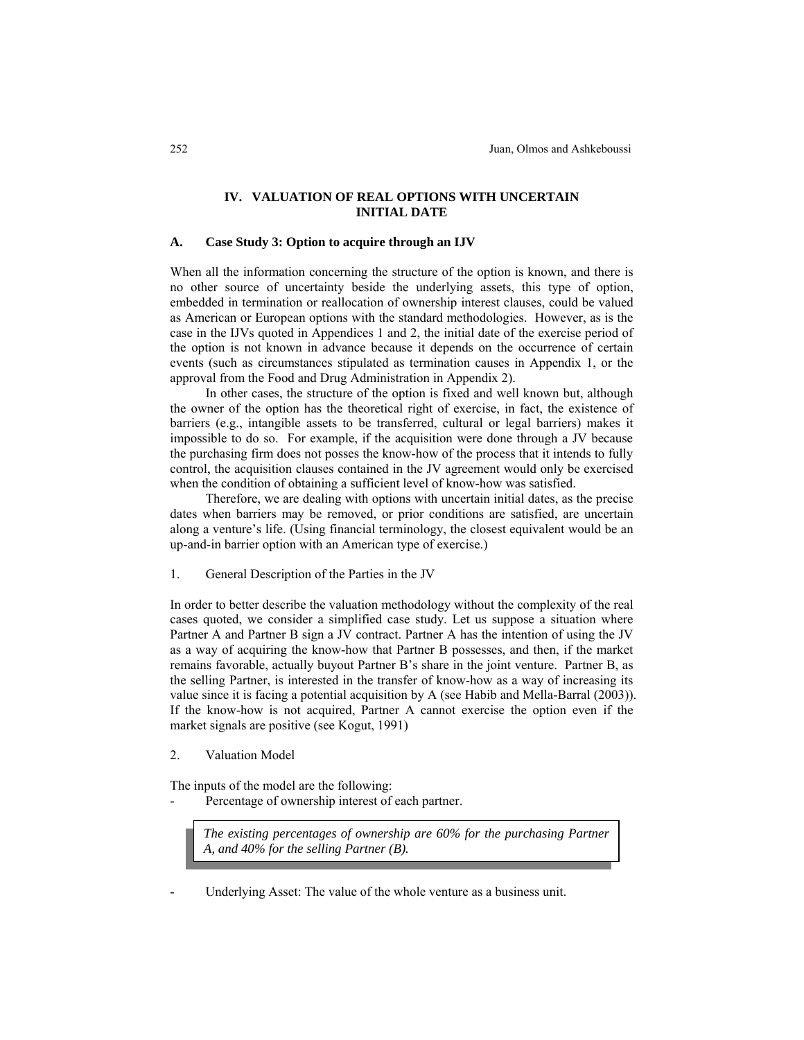# **IV. VALUATION OF REAL OPTIONS WITH UNCERTAIN INITIAL DATE**

## **A. Case Study 3: Option to acquire through an IJV**

When all the information concerning the structure of the option is known, and there is no other source of uncertainty beside the underlying assets, this type of option, embedded in termination or reallocation of ownership interest clauses, could be valued as American or European options with the standard methodologies. However, as is the case in the IJVs quoted in Appendices 1 and 2, the initial date of the exercise period of the option is not known in advance because it depends on the occurrence of certain events (such as circumstances stipulated as termination causes in Appendix 1, or the approval from the Food and Drug Administration in Appendix 2).

In other cases, the structure of the option is fixed and well known but, although the owner of the option has the theoretical right of exercise, in fact, the existence of barriers (e.g., intangible assets to be transferred, cultural or legal barriers) makes it impossible to do so. For example, if the acquisition were done through a JV because the purchasing firm does not posses the know-how of the process that it intends to fully control, the acquisition clauses contained in the JV agreement would only be exercised when the condition of obtaining a sufficient level of know-how was satisfied.

Therefore, we are dealing with options with uncertain initial dates, as the precise dates when barriers may be removed, or prior conditions are satisfied, are uncertain along a venture's life. (Using financial terminology, the closest equivalent would be an up-and-in barrier option with an American type of exercise.)

1. General Description of the Parties in the JV

In order to better describe the valuation methodology without the complexity of the real cases quoted, we consider a simplified case study. Let us suppose a situation where Partner A and Partner B sign a JV contract. Partner A has the intention of using the JV as a way of acquiring the know-how that Partner B possesses, and then, if the market remains favorable, actually buyout Partner B's share in the joint venture. Partner B, as the selling Partner, is interested in the transfer of know-how as a way of increasing its value since it is facing a potential acquisition by A (see Habib and Mella-Barral (2003)). If the know-how is not acquired, Partner A cannot exercise the option even if the market signals are positive (see Kogut, 1991)

2. Valuation Model

The inputs of the model are the following:

Percentage of ownership interest of each partner.

*The existing percentages of ownership are 60% for the purchasing Partner A, and 40% for the selling Partner (B).* 

Underlying Asset: The value of the whole venture as a business unit.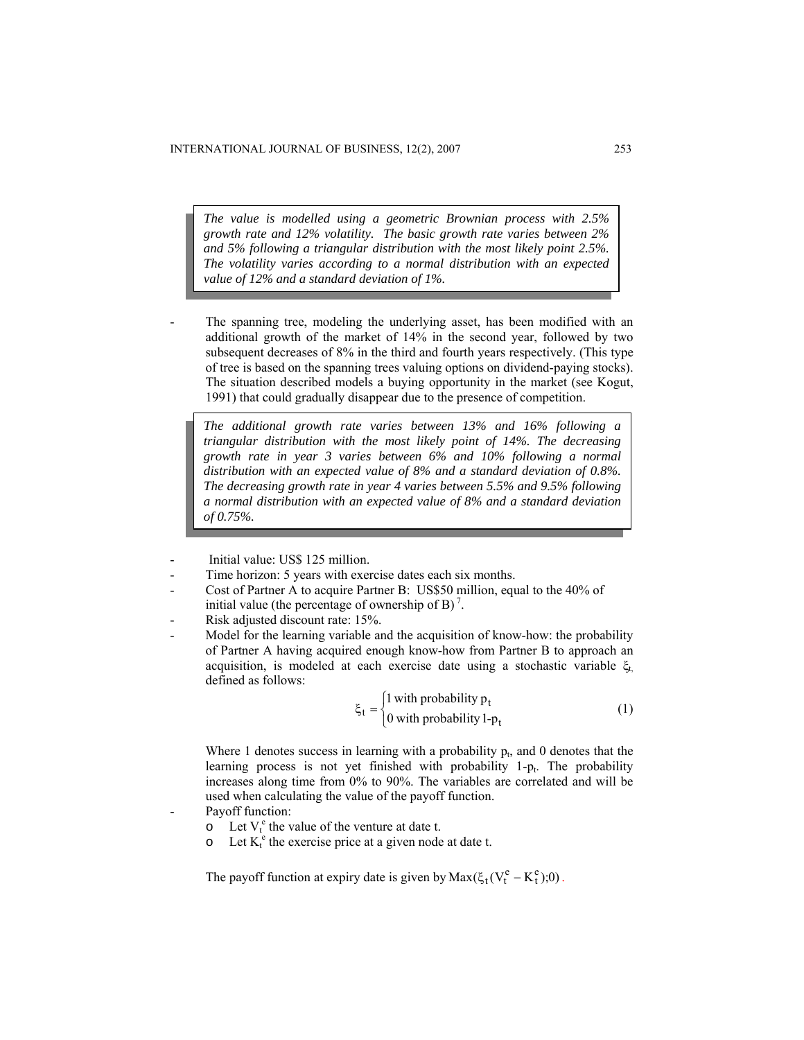*The value is modelled using a geometric Brownian process with 2.5% growth rate and 12% volatility. The basic growth rate varies between 2% and 5% following a triangular distribution with the most likely point 2.5%. The volatility varies according to a normal distribution with an expected value of 12% and a standard deviation of 1%.* 

The spanning tree, modeling the underlying asset, has been modified with an additional growth of the market of 14% in the second year, followed by two subsequent decreases of 8% in the third and fourth years respectively. (This type of tree is based on the spanning trees valuing options on dividend-paying stocks). The situation described models a buying opportunity in the market (see Kogut, 1991) that could gradually disappear due to the presence of competition.

*The additional growth rate varies between 13% and 16% following a triangular distribution with the most likely point of 14%. The decreasing growth rate in year 3 varies between 6% and 10% following a normal distribution with an expected value of 8% and a standard deviation of 0.8%. The decreasing growth rate in year 4 varies between 5.5% and 9.5% following a normal distribution with an expected value of 8% and a standard deviation of 0.75%.* 

- Initial value: US\$ 125 million.
- Time horizon: 5 years with exercise dates each six months.
- Cost of Partner A to acquire Partner B: US\$50 million, equal to the 40% of initial value (the percentage of ownership of B)<sup>7</sup>.
- Risk adjusted discount rate: 15%.
- Model for the learning variable and the acquisition of know-how: the probability of Partner A having acquired enough know-how from Partner B to approach an acquisition, is modeled at each exercise date using a stochastic variable  $\xi_t$ defined as follows:

$$
\xi_t = \begin{cases} 1 \text{ with probability } p_t \\ 0 \text{ with probability } 1 - p_t \end{cases}
$$
 (1)

Where 1 denotes success in learning with a probability  $p_t$ , and 0 denotes that the learning process is not yet finished with probability  $1-p<sub>t</sub>$ . The probability increases along time from 0% to 90%. The variables are correlated and will be used when calculating the value of the payoff function.

- Payoff function:
	- $\circ$  Let  $V_t^e$  the value of the venture at date t.
	- $\circ$  Let  $K_t^e$  the exercise price at a given node at date t.

The payoff function at expiry date is given by  $Max(\xi_t(V_t^e - K_t^e);0)$ .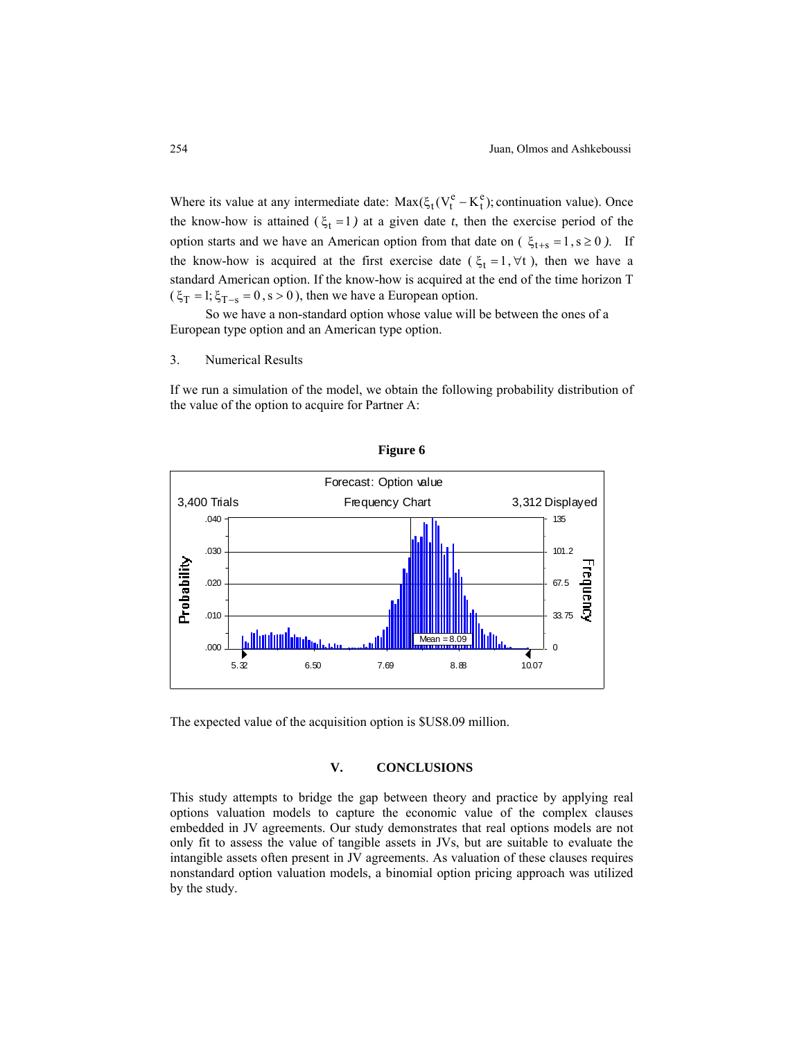Where its value at any intermediate date:  $Max(\xi_t(V_t^e - K_t^e))$ ; continuation value). Once the know-how is attained  $(\xi_t = 1)$  at a given date *t*, then the exercise period of the option starts and we have an American option from that date on ( $\xi_{t+s} = 1$ ,  $s \ge 0$ ). If the know-how is acquired at the first exercise date ( $\xi_t = 1, \forall t$ ), then we have a standard American option. If the know-how is acquired at the end of the time horizon T  $(\xi_T = 1; \xi_{T-s} = 0, s > 0)$ , then we have a European option.

So we have a non-standard option whose value will be between the ones of a European type option and an American type option.

# 3. Numerical Results

If we run a simulation of the model, we obtain the following probability distribution of the value of the option to acquire for Partner A:



**Figure 6** 

The expected value of the acquisition option is \$US8.09 million.

# **V. CONCLUSIONS**

This study attempts to bridge the gap between theory and practice by applying real options valuation models to capture the economic value of the complex clauses embedded in JV agreements. Our study demonstrates that real options models are not only fit to assess the value of tangible assets in JVs, but are suitable to evaluate the intangible assets often present in JV agreements. As valuation of these clauses requires nonstandard option valuation models, a binomial option pricing approach was utilized by the study.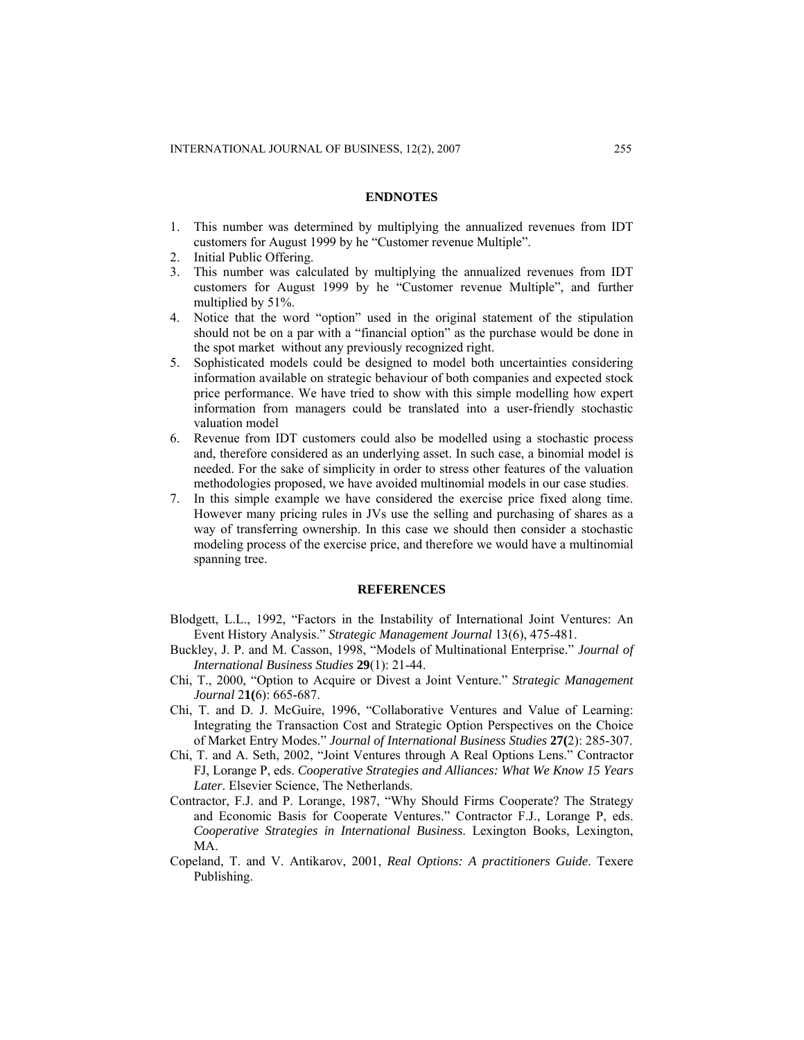#### **ENDNOTES**

- 1. This number was determined by multiplying the annualized revenues from IDT customers for August 1999 by he "Customer revenue Multiple".
- 2. Initial Public Offering.
- 3. This number was calculated by multiplying the annualized revenues from IDT customers for August 1999 by he "Customer revenue Multiple", and further multiplied by 51%.
- 4. Notice that the word "option" used in the original statement of the stipulation should not be on a par with a "financial option" as the purchase would be done in the spot market without any previously recognized right.
- 5. Sophisticated models could be designed to model both uncertainties considering information available on strategic behaviour of both companies and expected stock price performance. We have tried to show with this simple modelling how expert information from managers could be translated into a user-friendly stochastic valuation model
- 6. Revenue from IDT customers could also be modelled using a stochastic process and, therefore considered as an underlying asset. In such case, a binomial model is needed. For the sake of simplicity in order to stress other features of the valuation methodologies proposed, we have avoided multinomial models in our case studies.
- 7. In this simple example we have considered the exercise price fixed along time. However many pricing rules in JVs use the selling and purchasing of shares as a way of transferring ownership. In this case we should then consider a stochastic modeling process of the exercise price, and therefore we would have a multinomial spanning tree.

### **REFERENCES**

- Blodgett, L.L., 1992, "Factors in the Instability of International Joint Ventures: An Event History Analysis." *Strategic Management Journal* 13(6), 475-481.
- Buckley, J. P. and M. Casson, 1998, "Models of Multinational Enterprise." *Journal of International Business Studies* **29**(1): 21-44.
- Chi, T., 2000, "Option to Acquire or Divest a Joint Venture." *Strategic Management Journal* 2**1(**6): 665-687.
- Chi, T. and D. J. McGuire, 1996, "Collaborative Ventures and Value of Learning: Integrating the Transaction Cost and Strategic Option Perspectives on the Choice of Market Entry Modes." *Journal of International Business Studies* **27(**2): 285-307.
- Chi, T. and A. Seth, 2002, "Joint Ventures through A Real Options Lens." Contractor FJ, Lorange P, eds. *Cooperative Strategies and Alliances: What We Know 15 Years Later*. Elsevier Science, The Netherlands.
- Contractor, F.J. and P. Lorange, 1987, "Why Should Firms Cooperate? The Strategy and Economic Basis for Cooperate Ventures." Contractor F.J., Lorange P, eds. *Cooperative Strategies in International Business*. Lexington Books, Lexington, MA.
- Copeland, T. and V. Antikarov, 2001, *Real Options: A practitioners Guide*. Texere Publishing.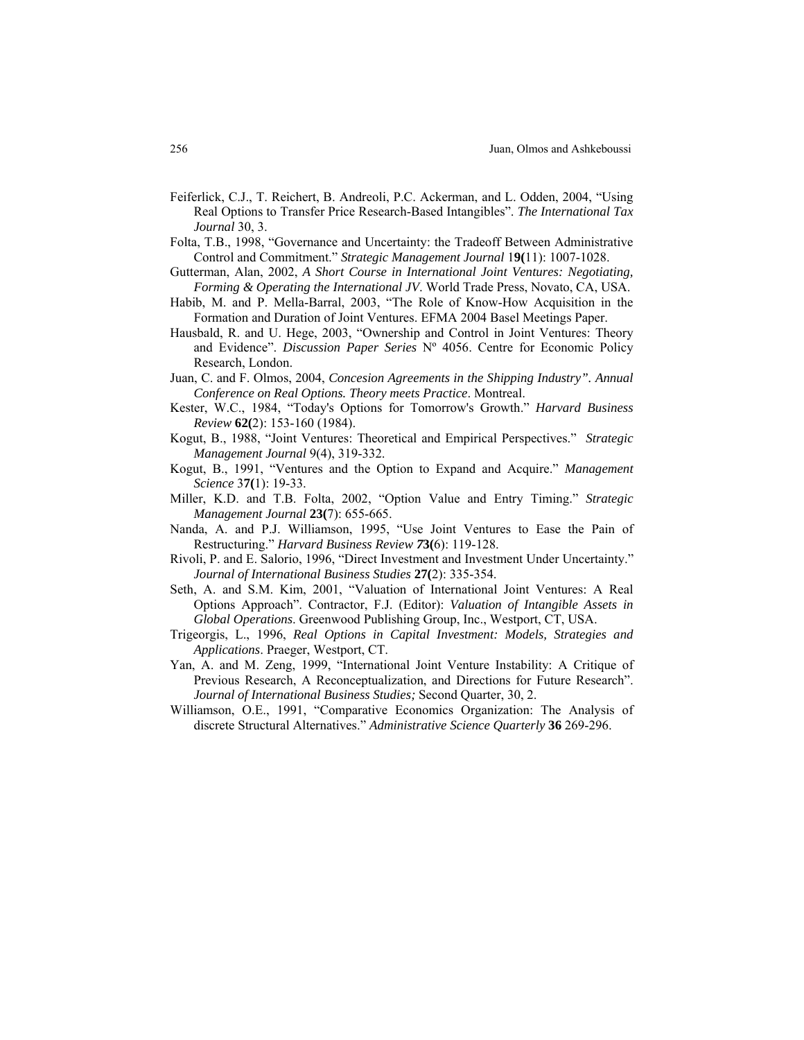- Feiferlick, C.J., T. Reichert, B. Andreoli, P.C. Ackerman, and L. Odden, 2004, "Using Real Options to Transfer Price Research-Based Intangibles". *The International Tax Journal* 30, 3.
- Folta, T.B., 1998, "Governance and Uncertainty: the Tradeoff Between Administrative Control and Commitment." *Strategic Management Journal* 1**9(**11): 1007-1028.
- Gutterman, Alan, 2002, *A Short Course in International Joint Ventures: Negotiating, Forming & Operating the International JV*. World Trade Press, Novato, CA, USA.
- Habib, M. and P. Mella-Barral, 2003, "The Role of Know-How Acquisition in the Formation and Duration of Joint Ventures. EFMA 2004 Basel Meetings Paper.
- Hausbald, R. and U. Hege, 2003, "Ownership and Control in Joint Ventures: Theory and Evidence". *Discussion Paper Series* Nº 4056. Centre for Economic Policy Research, London.
- Juan, C. and F. Olmos, 2004, *Concesion Agreements in the Shipping Industry". Annual Conference on Real Options. Theory meets Practice*. Montreal.
- Kester, W.C., 1984, "Today's Options for Tomorrow's Growth." *Harvard Business Review* **62(**2): 153-160 (1984).
- Kogut, B., 1988, "Joint Ventures: Theoretical and Empirical Perspectives." *Strategic Management Journal* 9(4), 319-332.
- Kogut, B., 1991, "Ventures and the Option to Expand and Acquire." *Management Science* 3**7(**1): 19-33.
- Miller, K.D. and T.B. Folta, 2002, "Option Value and Entry Timing." *Strategic Management Journal* **23(**7): 655-665.
- Nanda, A. and P.J. Williamson, 1995, "Use Joint Ventures to Ease the Pain of Restructuring." *Harvard Business Review 7***3(**6): 119-128.
- Rivoli, P. and E. Salorio, 1996, "Direct Investment and Investment Under Uncertainty." *Journal of International Business Studies* **27(**2): 335-354.
- Seth, A. and S.M. Kim, 2001, "Valuation of International Joint Ventures: A Real Options Approach". Contractor, F.J. (Editor): *Valuation of Intangible Assets in Global Operations*. Greenwood Publishing Group, Inc., Westport, CT, USA.
- Trigeorgis, L., 1996, *Real Options in Capital Investment: Models, Strategies and Applications*. Praeger, Westport, CT.
- Yan, A. and M. Zeng, 1999, "International Joint Venture Instability: A Critique of Previous Research, A Reconceptualization, and Directions for Future Research". *Journal of International Business Studies;* Second Quarter, 30, 2.
- Williamson, O.E., 1991, "Comparative Economics Organization: The Analysis of discrete Structural Alternatives." *Administrative Science Quarterly* **36** 269-296.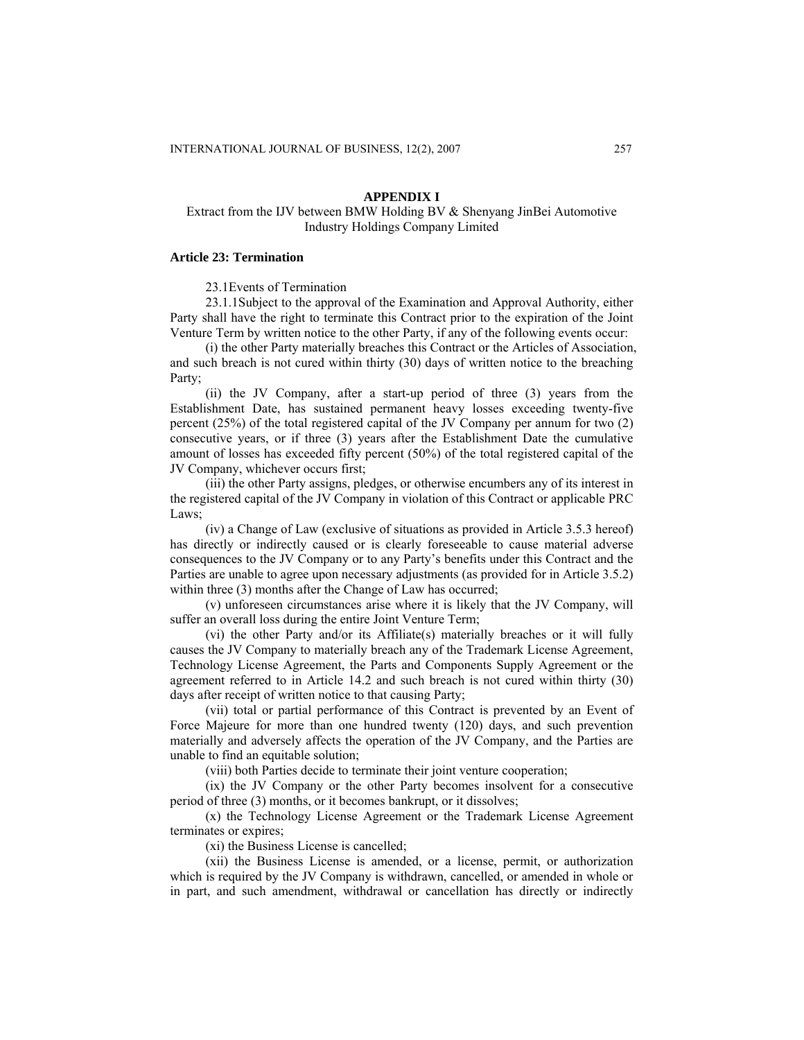## **APPENDIX I**

# Extract from the IJV between BMW Holding BV & Shenyang JinBei Automotive Industry Holdings Company Limited

## **Article 23: Termination**

#### 23.1Events of Termination

23.1.1Subject to the approval of the Examination and Approval Authority, either Party shall have the right to terminate this Contract prior to the expiration of the Joint Venture Term by written notice to the other Party, if any of the following events occur:

(i) the other Party materially breaches this Contract or the Articles of Association, and such breach is not cured within thirty (30) days of written notice to the breaching Party;

(ii) the JV Company, after a start-up period of three (3) years from the Establishment Date, has sustained permanent heavy losses exceeding twenty-five percent (25%) of the total registered capital of the JV Company per annum for two (2) consecutive years, or if three (3) years after the Establishment Date the cumulative amount of losses has exceeded fifty percent (50%) of the total registered capital of the JV Company, whichever occurs first;

(iii) the other Party assigns, pledges, or otherwise encumbers any of its interest in the registered capital of the JV Company in violation of this Contract or applicable PRC Laws;

(iv) a Change of Law (exclusive of situations as provided in Article 3.5.3 hereof) has directly or indirectly caused or is clearly foreseeable to cause material adverse consequences to the JV Company or to any Party's benefits under this Contract and the Parties are unable to agree upon necessary adjustments (as provided for in Article 3.5.2) within three (3) months after the Change of Law has occurred;

(v) unforeseen circumstances arise where it is likely that the JV Company, will suffer an overall loss during the entire Joint Venture Term;

(vi) the other Party and/or its Affiliate(s) materially breaches or it will fully causes the JV Company to materially breach any of the Trademark License Agreement, Technology License Agreement, the Parts and Components Supply Agreement or the agreement referred to in Article 14.2 and such breach is not cured within thirty (30) days after receipt of written notice to that causing Party;

(vii) total or partial performance of this Contract is prevented by an Event of Force Majeure for more than one hundred twenty (120) days, and such prevention materially and adversely affects the operation of the JV Company, and the Parties are unable to find an equitable solution;

(viii) both Parties decide to terminate their joint venture cooperation;

(ix) the JV Company or the other Party becomes insolvent for a consecutive period of three (3) months, or it becomes bankrupt, or it dissolves;

(x) the Technology License Agreement or the Trademark License Agreement terminates or expires;

(xi) the Business License is cancelled;

(xii) the Business License is amended, or a license, permit, or authorization which is required by the JV Company is withdrawn, cancelled, or amended in whole or in part, and such amendment, withdrawal or cancellation has directly or indirectly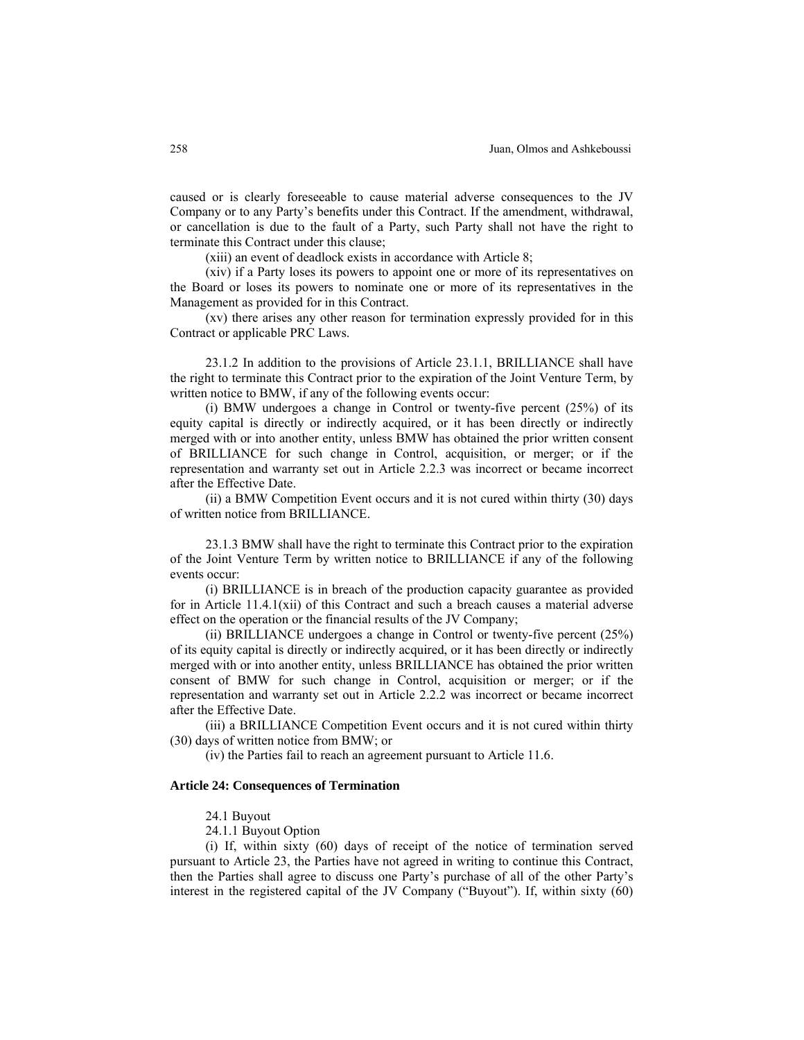caused or is clearly foreseeable to cause material adverse consequences to the JV Company or to any Party's benefits under this Contract. If the amendment, withdrawal, or cancellation is due to the fault of a Party, such Party shall not have the right to terminate this Contract under this clause;

(xiii) an event of deadlock exists in accordance with Article 8;

(xiv) if a Party loses its powers to appoint one or more of its representatives on the Board or loses its powers to nominate one or more of its representatives in the Management as provided for in this Contract.

(xv) there arises any other reason for termination expressly provided for in this Contract or applicable PRC Laws.

23.1.2 In addition to the provisions of Article 23.1.1, BRILLIANCE shall have the right to terminate this Contract prior to the expiration of the Joint Venture Term, by written notice to BMW, if any of the following events occur:

(i) BMW undergoes a change in Control or twenty-five percent (25%) of its equity capital is directly or indirectly acquired, or it has been directly or indirectly merged with or into another entity, unless BMW has obtained the prior written consent of BRILLIANCE for such change in Control, acquisition, or merger; or if the representation and warranty set out in Article 2.2.3 was incorrect or became incorrect after the Effective Date.

(ii) a BMW Competition Event occurs and it is not cured within thirty (30) days of written notice from BRILLIANCE.

23.1.3 BMW shall have the right to terminate this Contract prior to the expiration of the Joint Venture Term by written notice to BRILLIANCE if any of the following events occur:

(i) BRILLIANCE is in breach of the production capacity guarantee as provided for in Article 11.4.1(xii) of this Contract and such a breach causes a material adverse effect on the operation or the financial results of the JV Company;

(ii) BRILLIANCE undergoes a change in Control or twenty-five percent (25%) of its equity capital is directly or indirectly acquired, or it has been directly or indirectly merged with or into another entity, unless BRILLIANCE has obtained the prior written consent of BMW for such change in Control, acquisition or merger; or if the representation and warranty set out in Article 2.2.2 was incorrect or became incorrect after the Effective Date.

(iii) a BRILLIANCE Competition Event occurs and it is not cured within thirty (30) days of written notice from BMW; or

(iv) the Parties fail to reach an agreement pursuant to Article 11.6.

#### **Article 24: Consequences of Termination**

24.1 Buyout

24.1.1 Buyout Option

(i) If, within sixty (60) days of receipt of the notice of termination served pursuant to Article 23, the Parties have not agreed in writing to continue this Contract, then the Parties shall agree to discuss one Party's purchase of all of the other Party's interest in the registered capital of the JV Company ("Buyout"). If, within sixty (60)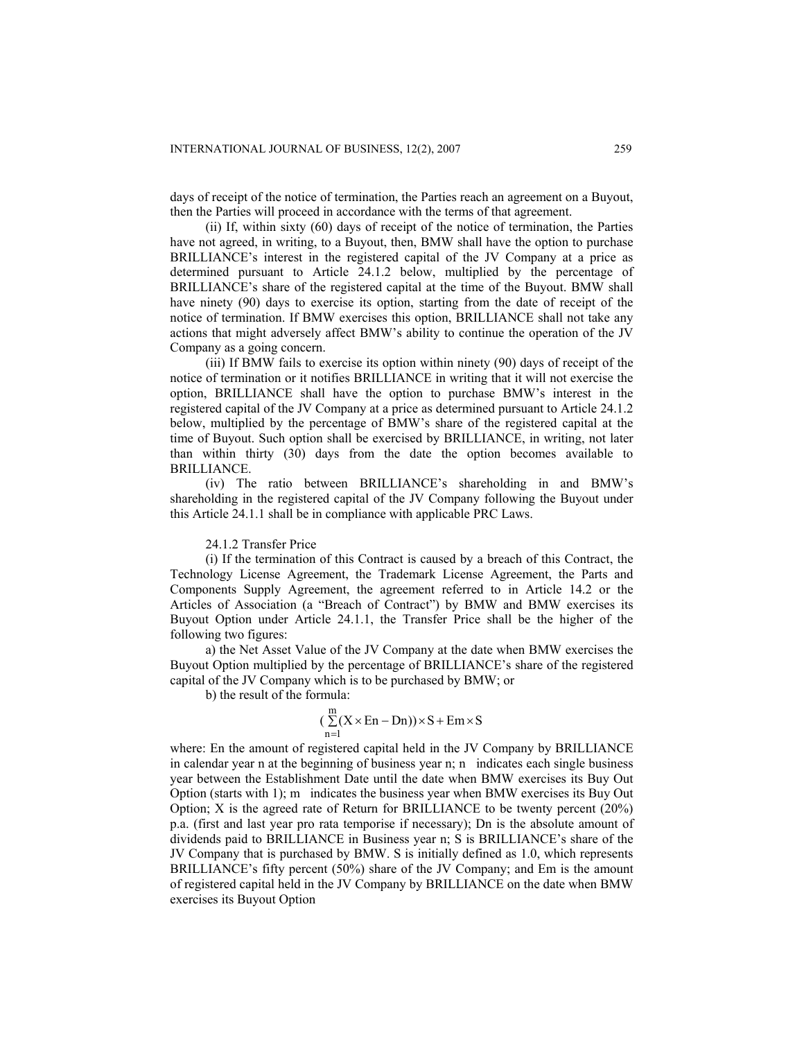days of receipt of the notice of termination, the Parties reach an agreement on a Buyout, then the Parties will proceed in accordance with the terms of that agreement.

(ii) If, within sixty (60) days of receipt of the notice of termination, the Parties have not agreed, in writing, to a Buyout, then, BMW shall have the option to purchase BRILLIANCE's interest in the registered capital of the JV Company at a price as determined pursuant to Article 24.1.2 below, multiplied by the percentage of BRILLIANCE's share of the registered capital at the time of the Buyout. BMW shall have ninety (90) days to exercise its option, starting from the date of receipt of the notice of termination. If BMW exercises this option, BRILLIANCE shall not take any actions that might adversely affect BMW's ability to continue the operation of the JV Company as a going concern.

(iii) If BMW fails to exercise its option within ninety (90) days of receipt of the notice of termination or it notifies BRILLIANCE in writing that it will not exercise the option, BRILLIANCE shall have the option to purchase BMW's interest in the registered capital of the JV Company at a price as determined pursuant to Article 24.1.2 below, multiplied by the percentage of BMW's share of the registered capital at the time of Buyout. Such option shall be exercised by BRILLIANCE, in writing, not later than within thirty (30) days from the date the option becomes available to BRILLIANCE.

(iv) The ratio between BRILLIANCE's shareholding in and BMW's shareholding in the registered capital of the JV Company following the Buyout under this Article 24.1.1 shall be in compliance with applicable PRC Laws.

#### 24.1.2 Transfer Price

(i) If the termination of this Contract is caused by a breach of this Contract, the Technology License Agreement, the Trademark License Agreement, the Parts and Components Supply Agreement, the agreement referred to in Article 14.2 or the Articles of Association (a "Breach of Contract") by BMW and BMW exercises its Buyout Option under Article 24.1.1, the Transfer Price shall be the higher of the following two figures:

a) the Net Asset Value of the JV Company at the date when BMW exercises the Buyout Option multiplied by the percentage of BRILLIANCE's share of the registered capital of the JV Company which is to be purchased by BMW; or

b) the result of the formula:

$$
(\sum_{n=1}^{m} (X \times En - Dn)) \times S + Em \times S
$$

where: En the amount of registered capital held in the JV Company by BRILLIANCE in calendar year n at the beginning of business year n; n indicates each single business year between the Establishment Date until the date when BMW exercises its Buy Out Option (starts with 1); m indicates the business year when BMW exercises its Buy Out Option; X is the agreed rate of Return for BRILLIANCE to be twenty percent (20%) p.a. (first and last year pro rata temporise if necessary); Dn is the absolute amount of dividends paid to BRILLIANCE in Business year n; S is BRILLIANCE's share of the JV Company that is purchased by BMW. S is initially defined as 1.0, which represents BRILLIANCE's fifty percent (50%) share of the JV Company; and Em is the amount of registered capital held in the JV Company by BRILLIANCE on the date when BMW exercises its Buyout Option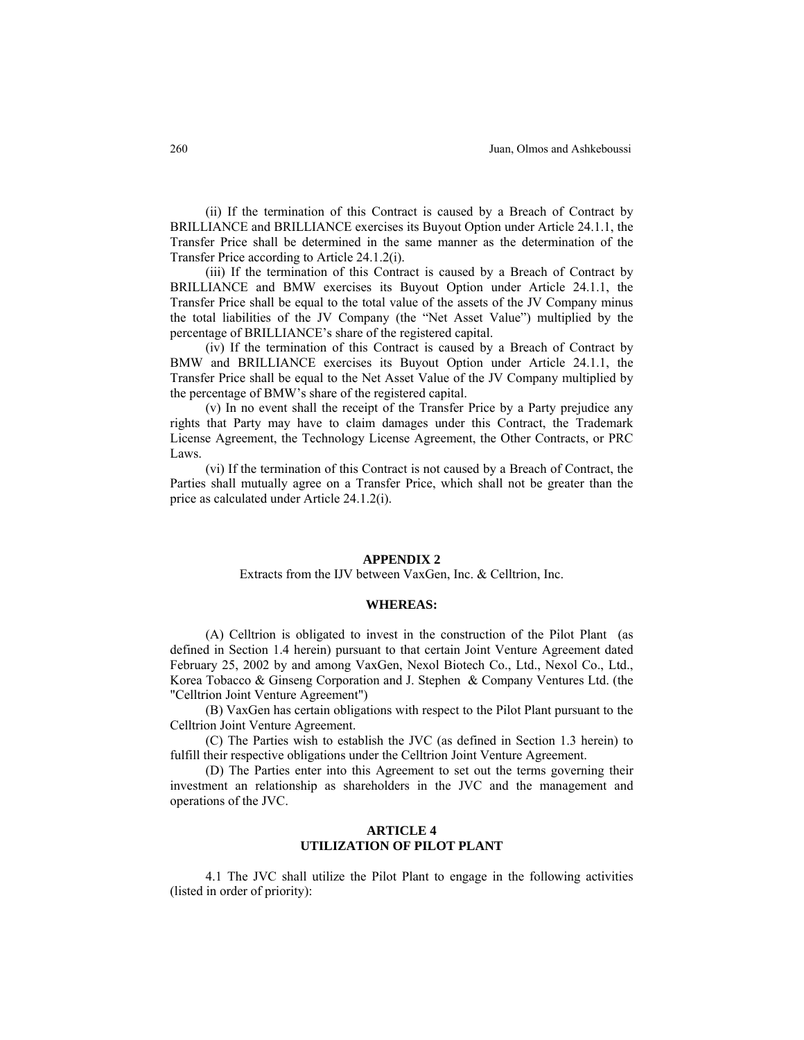(ii) If the termination of this Contract is caused by a Breach of Contract by BRILLIANCE and BRILLIANCE exercises its Buyout Option under Article 24.1.1, the Transfer Price shall be determined in the same manner as the determination of the Transfer Price according to Article 24.1.2(i).

(iii) If the termination of this Contract is caused by a Breach of Contract by BRILLIANCE and BMW exercises its Buyout Option under Article 24.1.1, the Transfer Price shall be equal to the total value of the assets of the JV Company minus the total liabilities of the JV Company (the "Net Asset Value") multiplied by the percentage of BRILLIANCE's share of the registered capital.

(iv) If the termination of this Contract is caused by a Breach of Contract by BMW and BRILLIANCE exercises its Buyout Option under Article 24.1.1, the Transfer Price shall be equal to the Net Asset Value of the JV Company multiplied by the percentage of BMW's share of the registered capital.

(v) In no event shall the receipt of the Transfer Price by a Party prejudice any rights that Party may have to claim damages under this Contract, the Trademark License Agreement, the Technology License Agreement, the Other Contracts, or PRC Laws.

(vi) If the termination of this Contract is not caused by a Breach of Contract, the Parties shall mutually agree on a Transfer Price, which shall not be greater than the price as calculated under Article 24.1.2(i).

#### **APPENDIX 2**

#### Extracts from the IJV between VaxGen, Inc. & Celltrion, Inc.

#### **WHEREAS:**

(A) Celltrion is obligated to invest in the construction of the Pilot Plant (as defined in Section 1.4 herein) pursuant to that certain Joint Venture Agreement dated February 25, 2002 by and among VaxGen, Nexol Biotech Co., Ltd., Nexol Co., Ltd., Korea Tobacco & Ginseng Corporation and J. Stephen & Company Ventures Ltd. (the "Celltrion Joint Venture Agreement")

(B) VaxGen has certain obligations with respect to the Pilot Plant pursuant to the Celltrion Joint Venture Agreement.

(C) The Parties wish to establish the JVC (as defined in Section 1.3 herein) to fulfill their respective obligations under the Celltrion Joint Venture Agreement.

(D) The Parties enter into this Agreement to set out the terms governing their investment an relationship as shareholders in the JVC and the management and operations of the JVC.

# **ARTICLE 4 UTILIZATION OF PILOT PLANT**

4.1 The JVC shall utilize the Pilot Plant to engage in the following activities (listed in order of priority):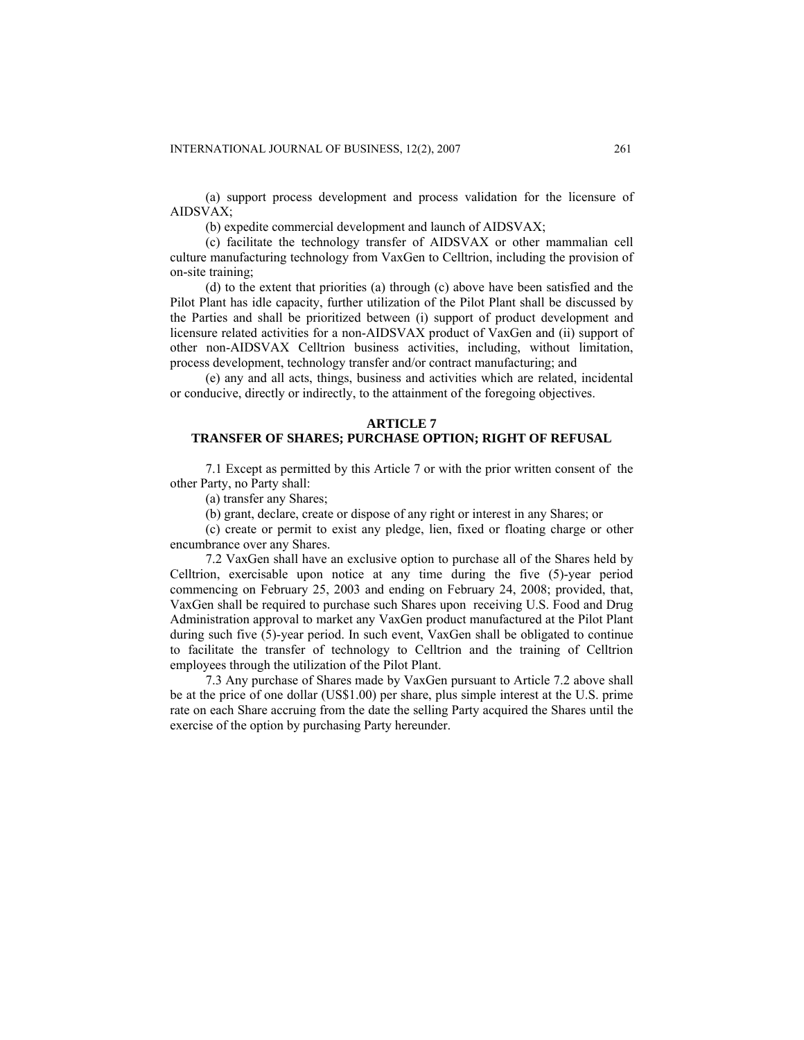(a) support process development and process validation for the licensure of AIDSVAX;

(b) expedite commercial development and launch of AIDSVAX;

(c) facilitate the technology transfer of AIDSVAX or other mammalian cell culture manufacturing technology from VaxGen to Celltrion, including the provision of on-site training;

(d) to the extent that priorities (a) through (c) above have been satisfied and the Pilot Plant has idle capacity, further utilization of the Pilot Plant shall be discussed by the Parties and shall be prioritized between (i) support of product development and licensure related activities for a non-AIDSVAX product of VaxGen and (ii) support of other non-AIDSVAX Celltrion business activities, including, without limitation, process development, technology transfer and/or contract manufacturing; and

(e) any and all acts, things, business and activities which are related, incidental or conducive, directly or indirectly, to the attainment of the foregoing objectives.

## **ARTICLE 7**

# **TRANSFER OF SHARES; PURCHASE OPTION; RIGHT OF REFUSAL**

7.1 Except as permitted by this Article 7 or with the prior written consent of the other Party, no Party shall:

(a) transfer any Shares;

(b) grant, declare, create or dispose of any right or interest in any Shares; or

(c) create or permit to exist any pledge, lien, fixed or floating charge or other encumbrance over any Shares.

7.2 VaxGen shall have an exclusive option to purchase all of the Shares held by Celltrion, exercisable upon notice at any time during the five (5)-year period commencing on February 25, 2003 and ending on February 24, 2008; provided, that, VaxGen shall be required to purchase such Shares upon receiving U.S. Food and Drug Administration approval to market any VaxGen product manufactured at the Pilot Plant during such five (5)-year period. In such event, VaxGen shall be obligated to continue to facilitate the transfer of technology to Celltrion and the training of Celltrion employees through the utilization of the Pilot Plant.

7.3 Any purchase of Shares made by VaxGen pursuant to Article 7.2 above shall be at the price of one dollar (US\$1.00) per share, plus simple interest at the U.S. prime rate on each Share accruing from the date the selling Party acquired the Shares until the exercise of the option by purchasing Party hereunder.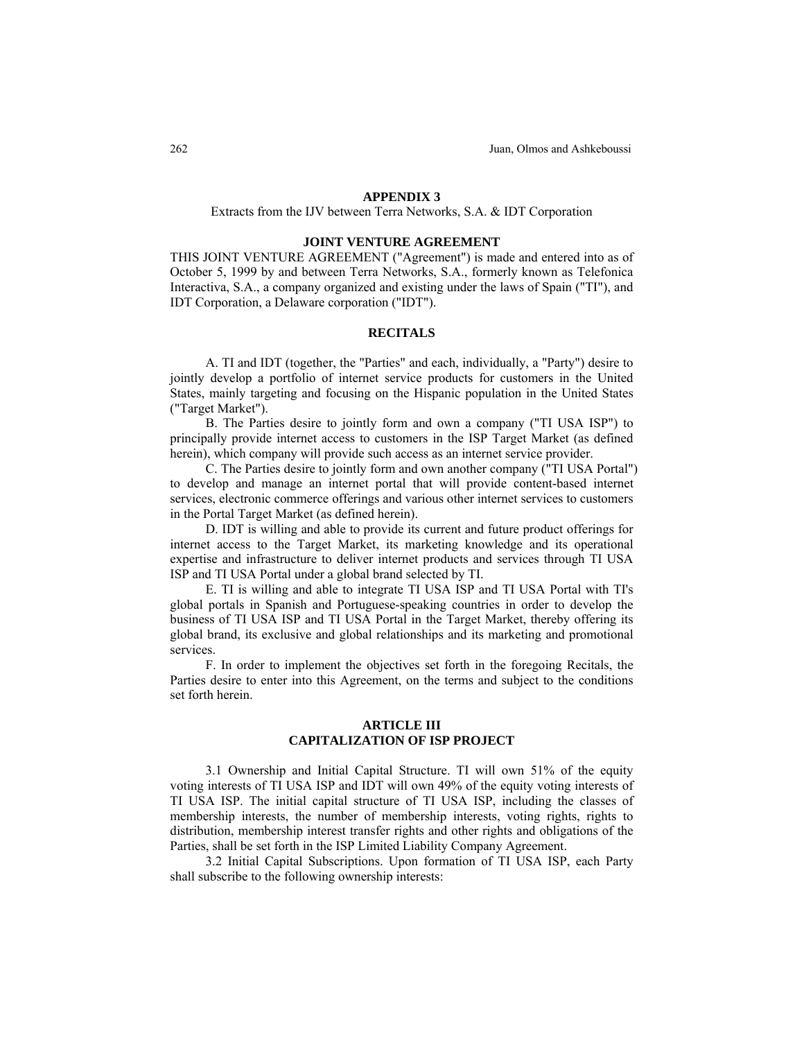#### **APPENDIX 3**

#### Extracts from the IJV between Terra Networks, S.A. & IDT Corporation

#### **JOINT VENTURE AGREEMENT**

THIS JOINT VENTURE AGREEMENT ("Agreement") is made and entered into as of October 5, 1999 by and between Terra Networks, S.A., formerly known as Telefonica Interactiva, S.A., a company organized and existing under the laws of Spain ("TI"), and IDT Corporation, a Delaware corporation ("IDT").

## **RECITALS**

A. TI and IDT (together, the "Parties" and each, individually, a "Party") desire to jointly develop a portfolio of internet service products for customers in the United States, mainly targeting and focusing on the Hispanic population in the United States ("Target Market").

B. The Parties desire to jointly form and own a company ("TI USA ISP") to principally provide internet access to customers in the ISP Target Market (as defined herein), which company will provide such access as an internet service provider.

C. The Parties desire to jointly form and own another company ("TI USA Portal") to develop and manage an internet portal that will provide content-based internet services, electronic commerce offerings and various other internet services to customers in the Portal Target Market (as defined herein).

D. IDT is willing and able to provide its current and future product offerings for internet access to the Target Market, its marketing knowledge and its operational expertise and infrastructure to deliver internet products and services through TI USA ISP and TI USA Portal under a global brand selected by TI.

E. TI is willing and able to integrate TI USA ISP and TI USA Portal with TI's global portals in Spanish and Portuguese-speaking countries in order to develop the business of TI USA ISP and TI USA Portal in the Target Market, thereby offering its global brand, its exclusive and global relationships and its marketing and promotional services.

F. In order to implement the objectives set forth in the foregoing Recitals, the Parties desire to enter into this Agreement, on the terms and subject to the conditions set forth herein.

# **ARTICLE III CAPITALIZATION OF ISP PROJECT**

3.1 Ownership and Initial Capital Structure. TI will own 51% of the equity voting interests of TI USA ISP and IDT will own 49% of the equity voting interests of TI USA ISP. The initial capital structure of TI USA ISP, including the classes of membership interests, the number of membership interests, voting rights, rights to distribution, membership interest transfer rights and other rights and obligations of the Parties, shall be set forth in the ISP Limited Liability Company Agreement.

3.2 Initial Capital Subscriptions. Upon formation of TI USA ISP, each Party shall subscribe to the following ownership interests: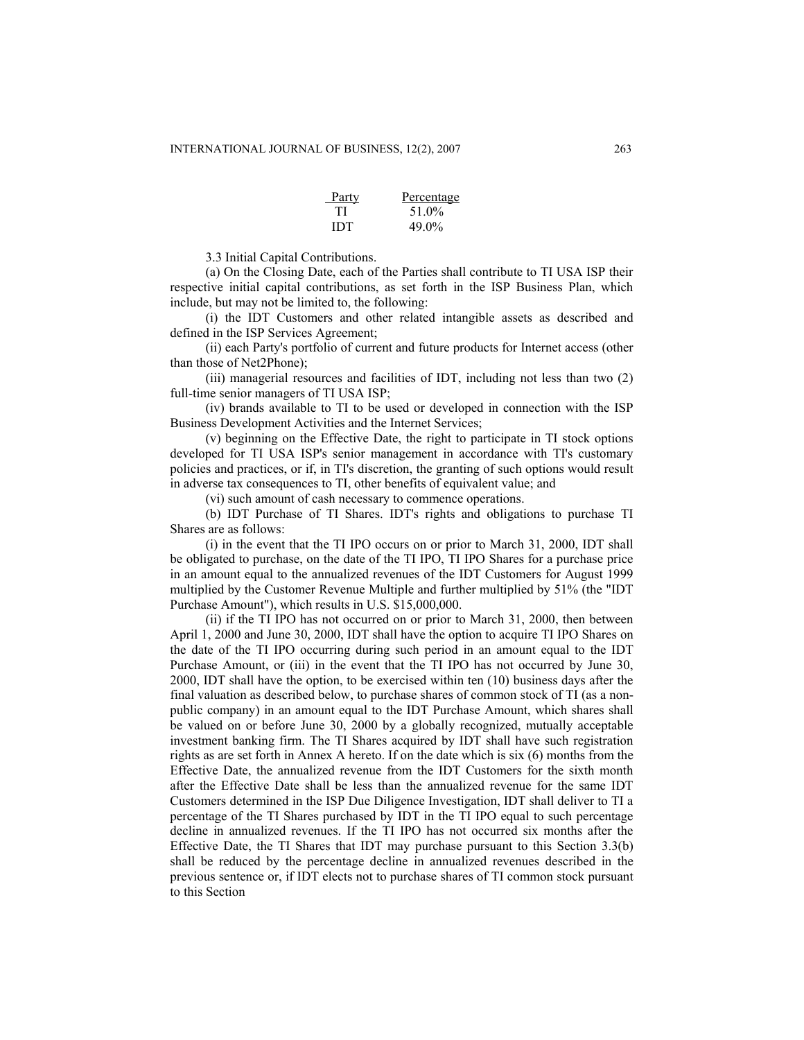| Party | Percentage |
|-------|------------|
| TI    | 51.0%      |
| IDT   | 49.0%      |

3.3 Initial Capital Contributions.

(a) On the Closing Date, each of the Parties shall contribute to TI USA ISP their respective initial capital contributions, as set forth in the ISP Business Plan, which include, but may not be limited to, the following:

(i) the IDT Customers and other related intangible assets as described and defined in the ISP Services Agreement;

(ii) each Party's portfolio of current and future products for Internet access (other than those of Net2Phone);

(iii) managerial resources and facilities of IDT, including not less than two (2) full-time senior managers of TI USA ISP;

(iv) brands available to TI to be used or developed in connection with the ISP Business Development Activities and the Internet Services;

(v) beginning on the Effective Date, the right to participate in TI stock options developed for TI USA ISP's senior management in accordance with TI's customary policies and practices, or if, in TI's discretion, the granting of such options would result in adverse tax consequences to TI, other benefits of equivalent value; and

(vi) such amount of cash necessary to commence operations.

(b) IDT Purchase of TI Shares. IDT's rights and obligations to purchase TI Shares are as follows:

(i) in the event that the TI IPO occurs on or prior to March 31, 2000, IDT shall be obligated to purchase, on the date of the TI IPO, TI IPO Shares for a purchase price in an amount equal to the annualized revenues of the IDT Customers for August 1999 multiplied by the Customer Revenue Multiple and further multiplied by 51% (the "IDT Purchase Amount"), which results in U.S. \$15,000,000.

(ii) if the TI IPO has not occurred on or prior to March 31, 2000, then between April 1, 2000 and June 30, 2000, IDT shall have the option to acquire TI IPO Shares on the date of the TI IPO occurring during such period in an amount equal to the IDT Purchase Amount, or (iii) in the event that the TI IPO has not occurred by June 30, 2000, IDT shall have the option, to be exercised within ten (10) business days after the final valuation as described below, to purchase shares of common stock of TI (as a nonpublic company) in an amount equal to the IDT Purchase Amount, which shares shall be valued on or before June 30, 2000 by a globally recognized, mutually acceptable investment banking firm. The TI Shares acquired by IDT shall have such registration rights as are set forth in Annex A hereto. If on the date which is six (6) months from the Effective Date, the annualized revenue from the IDT Customers for the sixth month after the Effective Date shall be less than the annualized revenue for the same IDT Customers determined in the ISP Due Diligence Investigation, IDT shall deliver to TI a percentage of the TI Shares purchased by IDT in the TI IPO equal to such percentage decline in annualized revenues. If the TI IPO has not occurred six months after the Effective Date, the TI Shares that IDT may purchase pursuant to this Section 3.3(b) shall be reduced by the percentage decline in annualized revenues described in the previous sentence or, if IDT elects not to purchase shares of TI common stock pursuant to this Section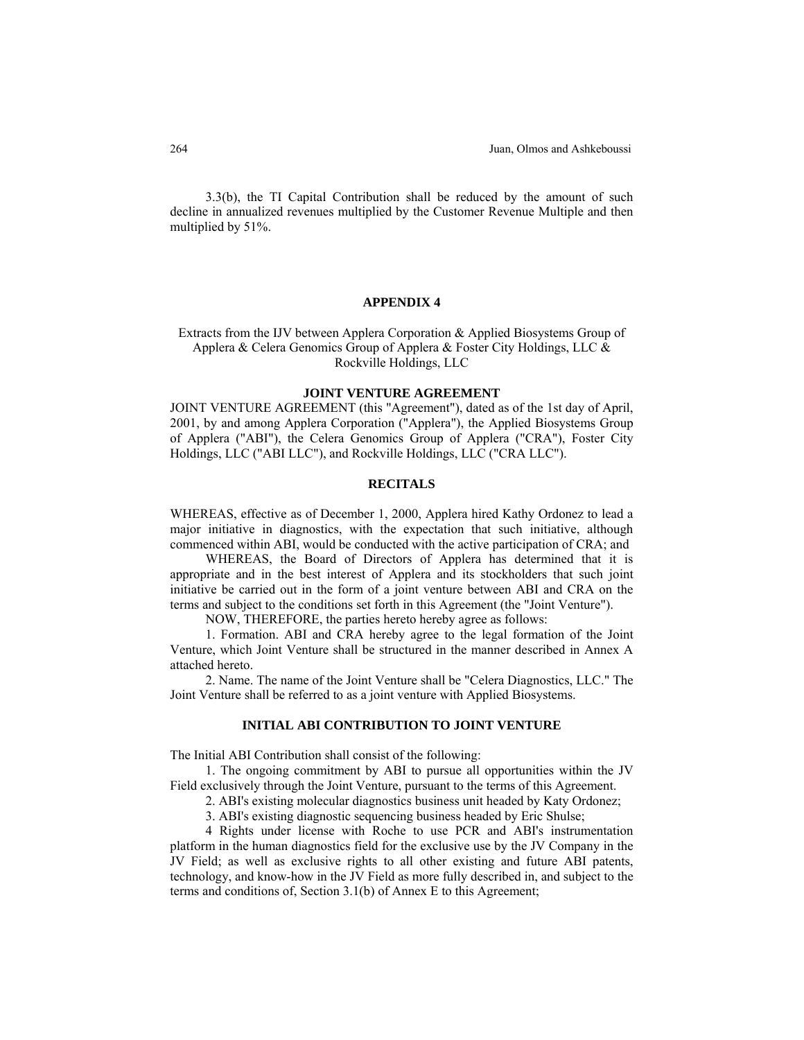3.3(b), the TI Capital Contribution shall be reduced by the amount of such decline in annualized revenues multiplied by the Customer Revenue Multiple and then multiplied by 51%.

# **APPENDIX 4**

Extracts from the IJV between Applera Corporation & Applied Biosystems Group of Applera & Celera Genomics Group of Applera & Foster City Holdings, LLC & Rockville Holdings, LLC

#### **JOINT VENTURE AGREEMENT**

JOINT VENTURE AGREEMENT (this "Agreement"), dated as of the 1st day of April, 2001, by and among Applera Corporation ("Applera"), the Applied Biosystems Group of Applera ("ABI"), the Celera Genomics Group of Applera ("CRA"), Foster City Holdings, LLC ("ABI LLC"), and Rockville Holdings, LLC ("CRA LLC").

## **RECITALS**

WHEREAS, effective as of December 1, 2000, Applera hired Kathy Ordonez to lead a major initiative in diagnostics, with the expectation that such initiative, although commenced within ABI, would be conducted with the active participation of CRA; and

WHEREAS, the Board of Directors of Applera has determined that it is appropriate and in the best interest of Applera and its stockholders that such joint initiative be carried out in the form of a joint venture between ABI and CRA on the terms and subject to the conditions set forth in this Agreement (the "Joint Venture").

NOW, THEREFORE, the parties hereto hereby agree as follows:

1. Formation. ABI and CRA hereby agree to the legal formation of the Joint Venture, which Joint Venture shall be structured in the manner described in Annex A attached hereto.

2. Name. The name of the Joint Venture shall be "Celera Diagnostics, LLC." The Joint Venture shall be referred to as a joint venture with Applied Biosystems.

# **INITIAL ABI CONTRIBUTION TO JOINT VENTURE**

The Initial ABI Contribution shall consist of the following:

1. The ongoing commitment by ABI to pursue all opportunities within the JV Field exclusively through the Joint Venture, pursuant to the terms of this Agreement.

2. ABI's existing molecular diagnostics business unit headed by Katy Ordonez;

3. ABI's existing diagnostic sequencing business headed by Eric Shulse;

4 Rights under license with Roche to use PCR and ABI's instrumentation platform in the human diagnostics field for the exclusive use by the JV Company in the JV Field; as well as exclusive rights to all other existing and future ABI patents, technology, and know-how in the JV Field as more fully described in, and subject to the terms and conditions of, Section 3.1(b) of Annex E to this Agreement;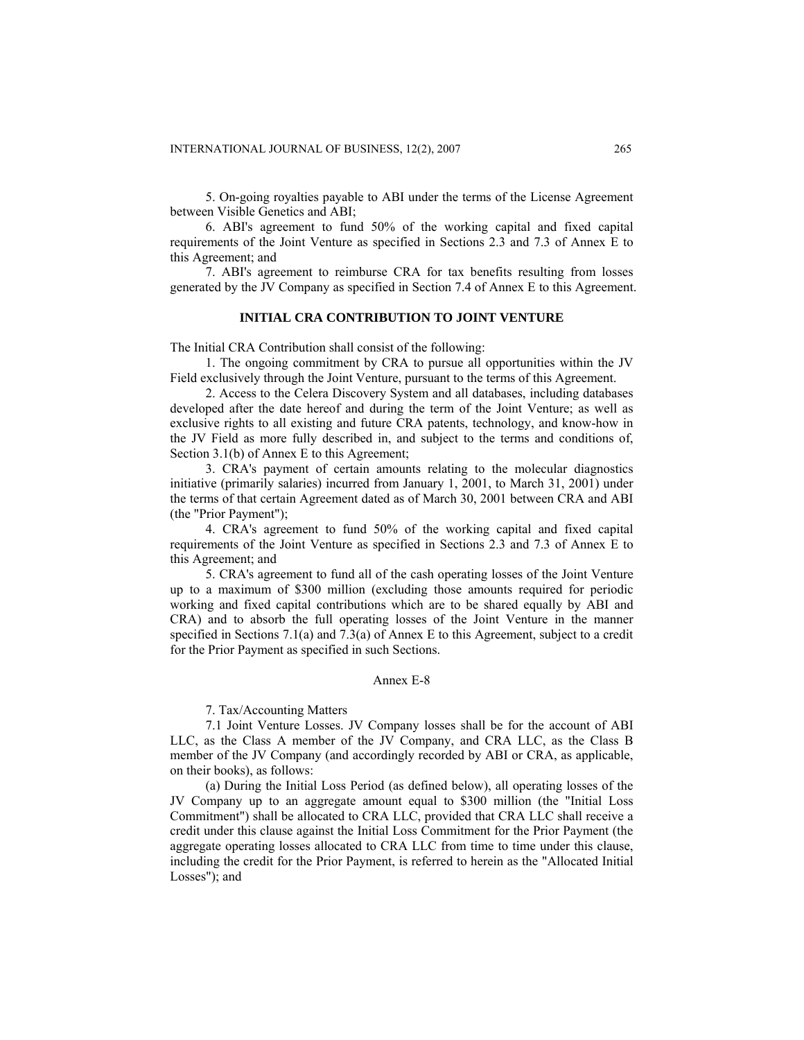5. On-going royalties payable to ABI under the terms of the License Agreement between Visible Genetics and ABI;

6. ABI's agreement to fund 50% of the working capital and fixed capital requirements of the Joint Venture as specified in Sections 2.3 and 7.3 of Annex E to this Agreement; and

7. ABI's agreement to reimburse CRA for tax benefits resulting from losses generated by the JV Company as specified in Section 7.4 of Annex E to this Agreement.

# **INITIAL CRA CONTRIBUTION TO JOINT VENTURE**

The Initial CRA Contribution shall consist of the following:

1. The ongoing commitment by CRA to pursue all opportunities within the JV Field exclusively through the Joint Venture, pursuant to the terms of this Agreement.

2. Access to the Celera Discovery System and all databases, including databases developed after the date hereof and during the term of the Joint Venture; as well as exclusive rights to all existing and future CRA patents, technology, and know-how in the JV Field as more fully described in, and subject to the terms and conditions of, Section 3.1(b) of Annex E to this Agreement;

3. CRA's payment of certain amounts relating to the molecular diagnostics initiative (primarily salaries) incurred from January 1, 2001, to March 31, 2001) under the terms of that certain Agreement dated as of March 30, 2001 between CRA and ABI (the "Prior Payment");

4. CRA's agreement to fund 50% of the working capital and fixed capital requirements of the Joint Venture as specified in Sections 2.3 and 7.3 of Annex E to this Agreement; and

5. CRA's agreement to fund all of the cash operating losses of the Joint Venture up to a maximum of \$300 million (excluding those amounts required for periodic working and fixed capital contributions which are to be shared equally by ABI and CRA) and to absorb the full operating losses of the Joint Venture in the manner specified in Sections 7.1(a) and 7.3(a) of Annex E to this Agreement, subject to a credit for the Prior Payment as specified in such Sections.

# Annex E-8

7. Tax/Accounting Matters

7.1 Joint Venture Losses. JV Company losses shall be for the account of ABI LLC, as the Class A member of the JV Company, and CRA LLC, as the Class B member of the JV Company (and accordingly recorded by ABI or CRA, as applicable, on their books), as follows:

(a) During the Initial Loss Period (as defined below), all operating losses of the JV Company up to an aggregate amount equal to \$300 million (the "Initial Loss Commitment") shall be allocated to CRA LLC, provided that CRA LLC shall receive a credit under this clause against the Initial Loss Commitment for the Prior Payment (the aggregate operating losses allocated to CRA LLC from time to time under this clause, including the credit for the Prior Payment, is referred to herein as the "Allocated Initial Losses"); and